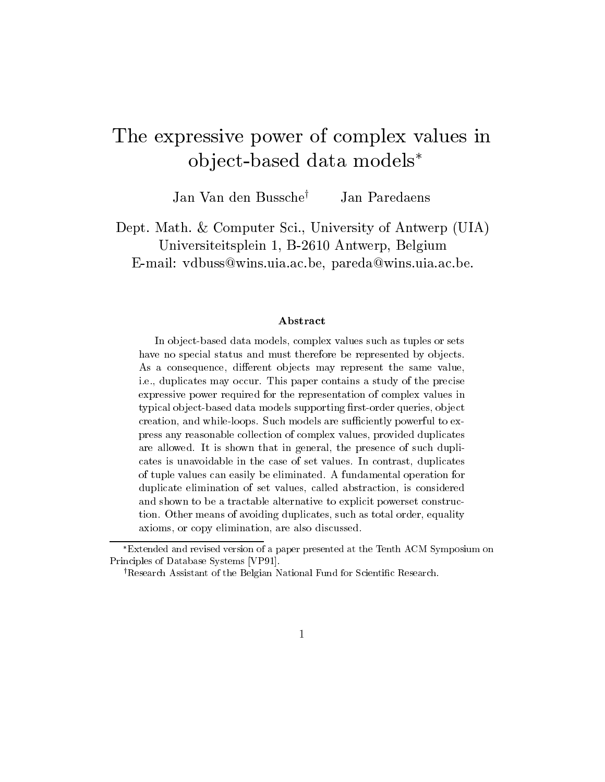# The expressive power of complex values in object-based data models\*

Jan Van den Bussche<sup>†</sup> Jan Paredaens

Dept Math Computer Sci- University of Antwerp UIA Universiteitsplein - Broadcastlein - Broadcastlein - Broadcastlein - Broadcastlein - Broadcastlein - Broadcast Email vdbusswinsuiaacbe- paredawinsuiaacbe

In object-based data models, complex values such as tuples or sets have no special status and must therefore be represented by objects. As a consequence, different objects may represent the same value, i-e- duplicates may occur- This paper contains a study of the precise expressive power required for the representation of complex values in typical object-based data models supporting first-order queries, object creation and while are such models are such models are such to extend the such as a such that we have a such to press any reasonable collection of complex values, provided duplicates are allowed-d-models in general that in general the presence of such duplication  $\mathbf{I}(\mathbf{A})$ cates is unavoidable in the case of set values- In contrast duplicates of tuple values can easily be eliminated- A fundamental operation for duplicate elimination of set values, called abstraction, is considered and shown to be a tractable alternative to explicit powerset construc tion- Other means of avoiding duplicates such as to avoid a volume of avoiding  $\sim$ axioms, or copy elimination, are also discussed.

Extended and revised version of a paper presented at the Tenth ACM Symposium on Principles of Database Systems VP-

<sup>&</sup>lt;sup>†</sup>Research Assistant of the Belgian National Fund for Scientific Research.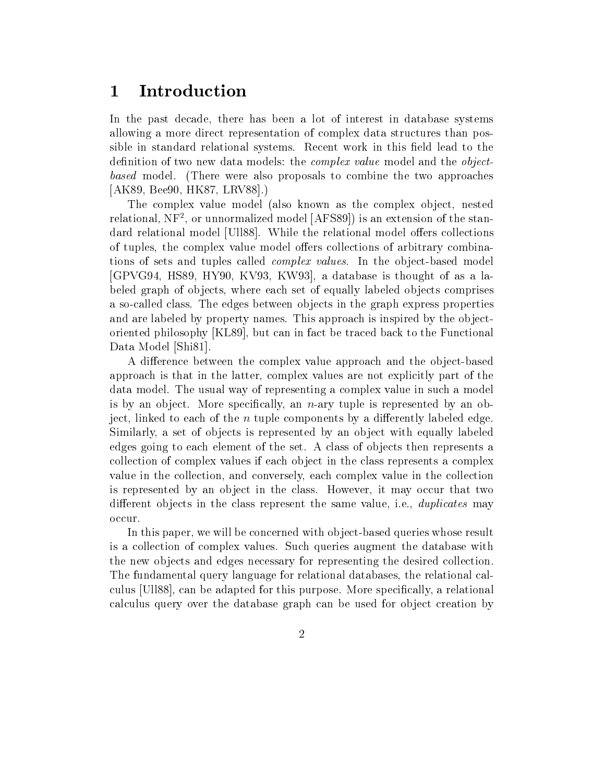# Introduction

In the past decade, there has been a lot of interest in database systems allowing a more direct representation of complex data structures than possible in standard relational systems. Recent work in this field lead to the definition of two new data models: the *complex value* model and the *object*based model. (There were also proposals to combine the two approaches AK Bee HK LRV

The complex value model (also known as the complex object, nested relational, IVF , or unnormalized model  $|AF$  SST) is an extension of the standard relational model [Ull88]. While the relational model offers collections of tuples, the complex value model offers collections of arbitrary combinations of sets and tuples called complex values In the object-based model , we assume that the state is the state is the database is the database is the state of  $\sim$ beled graph of objects, where each set of equally labeled objects comprises a societies the edges the edges between order the express properties properties properties. and are labeled by property names. This approach is inspired by the objectoriented philosophy  $[KL89]$ , but can in fact be traced back to the Functional Data Model [Shi81].

A dierence between the complex value approach and the object-based approach is that in the latter, complex values are not explicitly part of the data model. The usual way of representing a complex value in such a model is ary tupe is ject more specified by an in-depth is represented by an object of  $\alpha$  , and the contract of  $\alpha$ ject, linked to each of the n tuple components by a differently labeled edge. Similarly, a set of objects is represented by an object with equally labeled edges going to each element of the set. A class of objects then represents a collection of complex values if each object in the class represents a complex value in the collection, and conversely, each complex value in the collection is represented by an object in the class. However, it may occur that two different objects in the class represent the same value, i.e., *duplicates* may

In this paper we will be concerned with ob ject-based queries whose result is a collection of complex values. Such queries augment the database with the new objects and edges necessary for representing the desired collection. The fundamental query language for relational databases, the relational calculus [Ull88], can be adapted for this purpose. More specifically, a relational calculus query over the database graph can be used for object creation by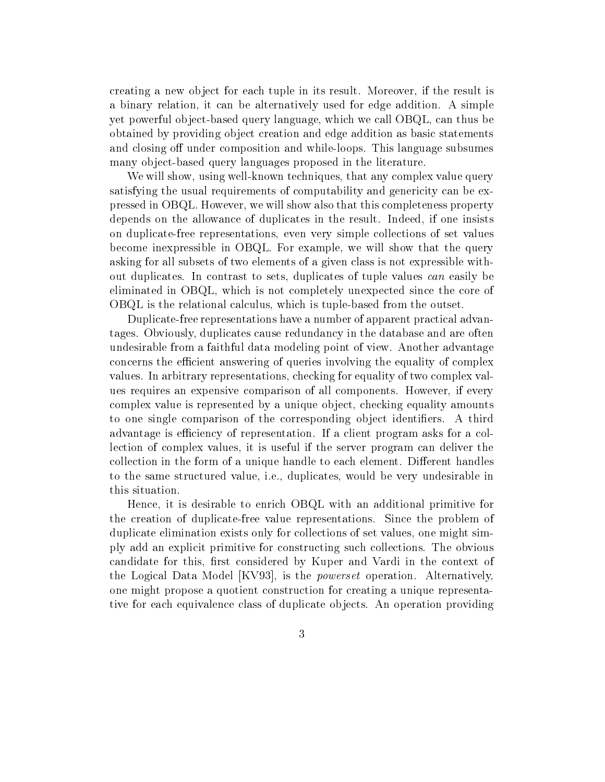creating a new object for each tuple in its result Moreover if the result is a binary relation, it can be alternatively used for edge addition. A simple yet powerful object-which we call the property language which we call  $\alpha$  and  $\alpha$ obtained by providing ob ject creation and edge addition as basic statements and continuity that the composition and which while-the components of the substantial components of the components of the components of the components of the components of the components of the components of the components many ob ject-based query languages proposed in the literature

will show that will show using which is any complex value  $\mu$  and  $\mu$  and  $\mu$  any complex value  $\mu$ satisfying the usual requirements of computability and genericity can be expressed in OBQL. However, we will show also that this completeness property depends on the allowance of duplicates in the result. Indeed, if one insists on duplicate-free representations even very simple collections of set values become inexpressible in  $O B Q L$ . For example, we will show that the query asking for all subsets of two elements of a given class is not expressible without duplicates. In contrast to sets, duplicates of tuple values can easily be eliminated in OBQL, which is not completely unexpected since the core of OBQL is the relational calculus which is tuple-based from the outset

Duplicate-free representations haveanumber of apparent practical advantages Obviously duplicates cause redundancy in the database and are often undesirable from a faithful data modeling point of view. Another advantage concerns the efficient answering of queries involving the equality of complex values In arbitrary representations checking for equality of two complex values requires an expensive comparison of all components. However, if every complex value is represented by a unique object, checking equality amounts to one single comparison of the corresponding object identifiers. A third advantage is efficiency of representation. If a client program asks for a collection of complex values, it is useful if the server program can deliver the collection in the form of a unique handle to each element. Different handles to the same structured value, i.e., duplicates, would be very undesirable in this situation

Hence, it is desirable to enrich OBQL with an additional primitive for the creation of duplicate-free value representations Since the problem of duplicate elimination exists only for collections of set values, one might simply add an explicit primitive for constructing such collections The obvious candidate for this, first considered by Kuper and Vardi in the context of the Logical Data Model  $\text{[KV93]}$ , is the *powerset* operation. Alternatively, one might propose a quotient construction for creating a unique representative for each equivalence class of duplicate objects. An operation providing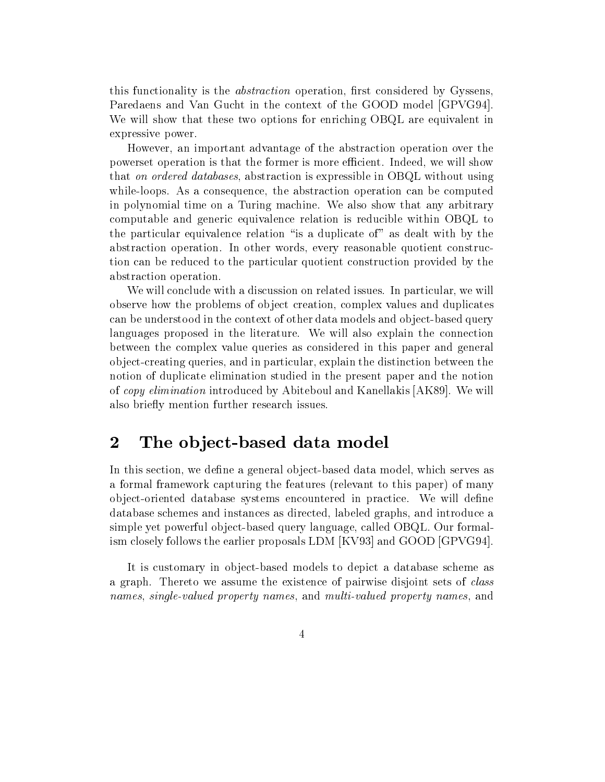this functionality is the *abstraction* operation, first considered by Gyssens, Paredaens and Van Gucht in the context of the GOOD model [GPVG94]. We will show that these two options for enriching OBQL are equivalent in expressive power

However, an important advantage of the abstraction operation over the powerset operation is that the former is more efficient. Indeed, we will show that on ordered databases, abstraction is expressible in OBQL without using while-loops As a consequence the abstraction operation can be computed in polynomial time on a Turing machine. We also show that any arbitrary computable and generic equivalence relation is reducible within OBQL to the particular equivalence relation "is a duplicate of" as dealt with by the abstraction operation In other words every reasonable quotient construction can be reduced to the particular quotient construction provided by the abstraction operation

We will conclude with a discussion on related issues. In particular, we will observe how the problems of ob ject creation complex values and duplicates can be understood in the context of other data models and ob ject-based query languages proposed in the literature. We will also explain the connection between the complex value queries as considered in this paper and general ob ject-creating queries and in particular explain the distinction between the notion of duplicate elimination studied in the present paper and the notion of *copy elimination* introduced by Abiteboul and Kanellakis [AK89]. We will also briefly mention further research issues.

# the observed data models when the second contract of the second contract of the second contract of the second

In this section we dene a general ob ject-based data model which serves as a formal framework capturing the features (relevant to this paper) of many ob ject-oriented database systems encountered in practice We will dene database schemes and instances as directed, labeled graphs, and introduce a simple yet powerful object-based query language called OBQL our formalism closely follows the earlier proposals  $LDM$   $[KV93]$  and  $GOOD$   $[GPVG94]$ .

It is customary in ob ject-based models to depict <sup>a</sup> database scheme as a graph. Thereto we assume the existence of pairwise disjoint sets of *class* names, single-valued property names, and multi-valued property names, and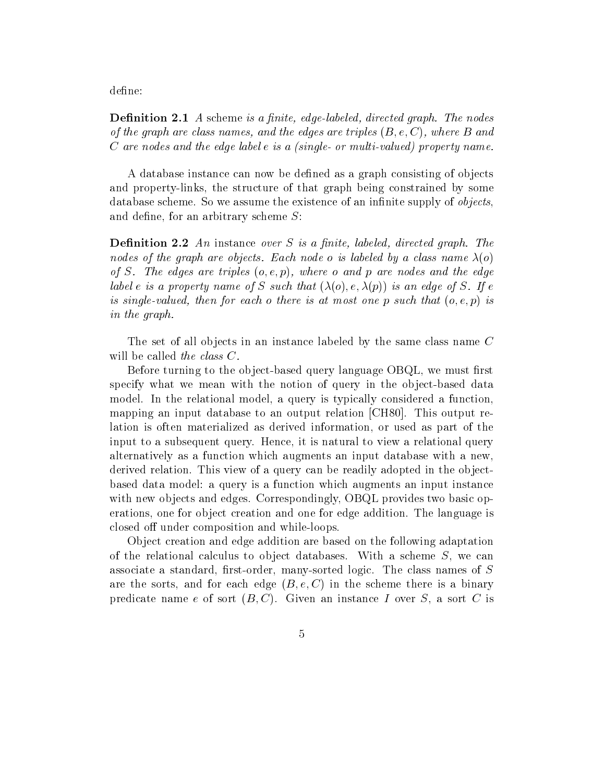define:

— a scheme is a nite-state is a possibly sample state and a state graphic — and a state of of the graph are class names- and the edges are triples B e C
- where B and C are nodes and the edge label e is a (single- or multi-valued) property name.

A database instance can now be defined as a graph consisting of objects and property-links the structure of that graph being constrained by some database scheme. So we assume the existence of an infinite supply of *objects*. and define, for an arbitrary scheme  $S$ :

Denition - An instance over S is a nite- labeled- directed graph The nodes of the graph are objects. Each node o is labeled by a class name  $\lambda(o)$ of S The edges are triples o e p
- where o and p are nodes and the edge label e is a property name of S such that  $(\lambda(o), e, \lambda(p))$  is an edge of S. If e is singlevalued, then for each such that our most of the position of the such that  $\mathbb{F}_p$  is a in the graph

The set of all objects in an instance labeled by the same class name  $C$ will be called the class  $C$ .

Before turning to the ob ject-based query language OBQL we must rst specify with we mean with the notion of query in the observed of  $\alpha$ model. In the relational model, a query is typically considered a function, mapping and input database to an output relation CH and CH and CH and CH and CH and CH and CH and CH and CH and lation is often materialized as derived information, or used as part of the input to <sup>a</sup> subsequent query Hence it is natural to view a relational query alternatively as a function which augments an input database with a new derived relation. This view of a query can be readily adopted in the objectbased data model: a query is a function which augments an input instance with new objects and edges. Correspondingly, OBQL provides two basic operations, one for object creation and one for edge addition. The language is closed on the composition and which are composition and which composition and which composition and which compo

Object creation and edge addition are based on the following adaptation of the relational calculus to object databases. With a scheme  $S$ , we can associate a standard result in the corder many-sorted logic The class names of Section 2012 and 2012 and 2012 are the sorts, and for each edge  $(B, e, C)$  in the scheme there is a binary predicate name e of sort  $(B, C)$ . Given an instance I over S, a sort C is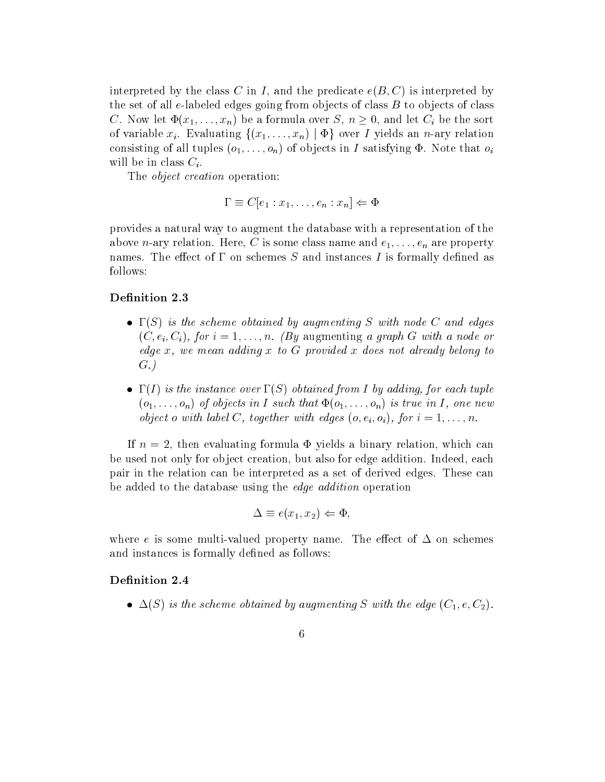interpreted by the class C in I, and the predicate  $e(B, C)$  is interpreted by  $\mathbf{M} = \mathbf{M}$  to object of class B to object software going from objects of class B to object software going  $\mathbf{M} = \mathbf{M}$ C. Now let  $\Phi(x_1,\ldots,x_n)$  be a formula over  $S, n \geq 0$ , and let  $C_i$  be the sort of variable  $x_i$ . Evaluating  $\{(x_1,\ldots,x_n) \mid \Phi\}$  over I yields an n-ary relation consisting of the complete (edge) in I satisfying the form of observed the construction of  $\mu$ will be in class  $C_i$ .

The *object creation* operation:

$$
\Gamma \equiv C[e_1 : x_1, \dots, e_n : x_n] \Leftarrow \Phi
$$

provides a natural way to augment the database with a representation of the above n-cary relation Here C is some class name and e-mary relationship of the contract of the contract of the names. The effect of  $\Gamma$  on schemes S and instances I is formally defined as follows

- $\bullet$  1 (5) is the scheme obtained by augmenting 5 with node  $C$  and edges  $\alpha$  , with a graph  $\alpha$  -respectively. The contract of the state or  $\alpha$  and  $\alpha$  and  $\alpha$  and  $\alpha$  and  $\alpha$  and  $\alpha$  and  $\alpha$  and  $\alpha$  and  $\alpha$  and  $\alpha$  and  $\alpha$  and  $\alpha$  and  $\alpha$  and  $\alpha$  and  $\alpha$  and  $\alpha$  and  $\alpha$  and edge x- we mean adding x to G provided x does not already belong to  $\sim$   $\sim$   $\sim$   $\sim$
- $\bullet$  1(1) is the instance over 1(S) obtained from 1 by adding, for each tuple o---on of objects in I such that o---on is true in I - one new object o with the construction with edges and all journals of the label of the construction of the constructio

If  $n = 2$ , then evaluating formula  $\Phi$  yields a binary relation, which can be used not only for object creation, but also for edge addition. Indeed, each pair in the relation can be interpreted as a set of derived edges. These can be added to the database using the edge addition operation

$$
\Delta \equiv e(x_1, x_2) \Leftarrow \Phi,
$$

where e is some multi-dimensional property name Theorem  $\mathbf{r}$ and instances is formally defined as follows:

 $\bullet$   $\Delta$ (5) is the scheme obtained by augmenting S with the edge (C<sub>1</sub>,e,C<sub>2</sub>).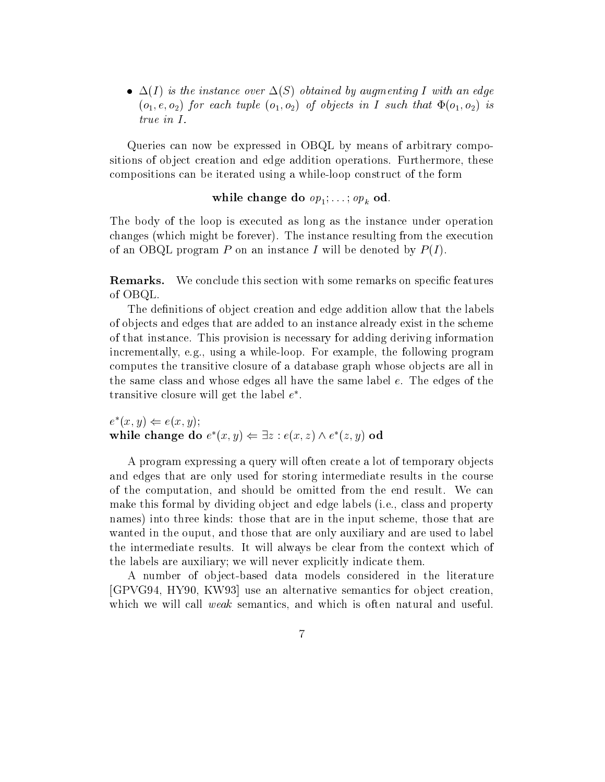$\bullet$   $\Delta(I)$  is the instance over  $\Delta(S)$  obtained by augmenting I with an edge  $(o_1, e, o_2)$  for each tuple  $(o_1, o_2)$  of objects in I such that  $\Phi(o_1, o_2)$  is true in I

Queries can now be expressed in OBQL by means of arbitrary compositions of object creation and edge addition operations. Furthermore, these compositions can be iterated using a while-  $\alpha$  while-  $\beta$  and form  $\beta$  and  $\beta$  and  $\beta$  and  $\beta$ 

e do do op - and do open the set of the set of the set of the set of the set of the set of the set of the set of the set of the set of the set of the set of the set of the set of the set of the set of the set of the set of

The body of the loop is executed as long as the instance under operation changes (which might be forever). The instance resulting from the execution of an OBQL program P on an instance I will be denoted by  $P(I)$ .

Remarks-We conclude this section with some remarks on specific features of OBQL

The definitions of object creation and edge addition allow that the labels of ob jects and edges that are added to an instance already exist in the scheme of that instance This provision is necessary for adding deriving information incrementally eggs while-  $\alpha$  while-  $\alpha$  and  $\beta$  are the following programmes and  $\alpha$  programmes and  $\alpha$ computes the transitive closure of a database graph whose objects are all in the same class and whose edges all have the same label  $e$ . The edges of the transitive closure will get the label  $e$  .

 $e^*(x, y) \Leftarrow e(x, y);$ while change do  $e^*(x, y) \Leftarrow \exists z : e(x, z) \wedge e^*(z, y)$  od

A program expressing a query will often create a lot of temporary ob jects and edges that are only used for storing intermediate results in the course of the computation, and should be omitted from the end result. We can make this formal by dividing object and edge labels (i.e., class and property names) into three kinds: those that are in the input scheme, those that are wanted in the ouput, and those that are only auxiliary and are used to label the intermediate results. It will always be clear from the context which of the labels are auxiliary; we will never explicitly indicate them.

 $A$  number of observations considered in the literature of observations considered in the literature of  $\alpha$ GPVG HY KW  use an alternative semantics for object creation which we will call *weak* semantics, and which is often natural and useful.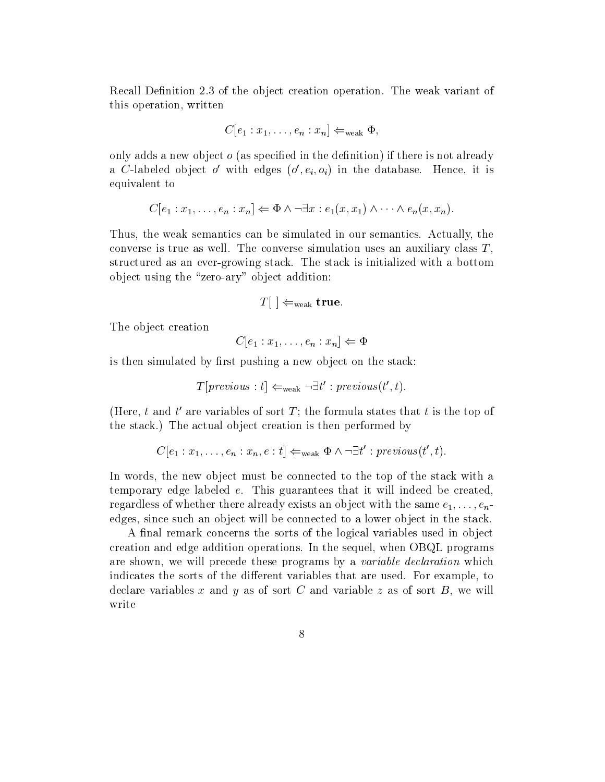Recall Definition 2.3 of the object creation operation. The weak variant of this operation, written

$$
C[e_1:x_1,\ldots,e_n:x_n] \Leftarrow_{\text{weak}} \Phi,
$$

only adds a new object  $\sigma$  (as specified in the definition) if there is not already a C-labeled object  $o$  with edges  $(o_1, e_i, o_i)$  in the database. Hence, it is equivalent to

$$
C[e_1 : x_1, \ldots, e_n : x_n] \Leftarrow \Phi \land \neg \exists x : e_1(x, x_1) \land \cdots \land e_n(x, x_n).
$$

Thus, the weak semantics can be simulated in our semantics. Actually, the converse is true as well. The converse simulation uses an auxiliary class  $T$ , structured as an ever-growing stack The stack is initialized with a bottom ob ject using the zero-ary ob ject addition

$$
T[\ ]\Leftarrow_{\mathrm{weak}}\mathrm{\,true}.
$$

The object creation

$$
C[e_1:x_1,\ldots,e_n:x_n]\Leftarrow\Phi
$$

is then simulated by first pushing a new object on the stack:

$$
T[previous: t] \leftarrow_{weak} \neg \exists t': previous(t', t).
$$

(fiere, t and t are variables of sort 1; the formula states that t is the top of the stack.) The actual object creation is then performed by

$$
C[e_1 : x_1, \ldots, e_n : x_n, e : t] \leftarrow_{weak} \Phi \wedge \neg \exists t' : previous(t', t).
$$

In words, the new object must be connected to the top of the stack with a temporary edge labeled  $e$ . This guarantees that it will indeed be created, regardless of whether there also also the same the same e-same e-same with the same e-same e-11 and 10 million edges, since such an object will be connected to a lower object in the stack.

A final remark concerns the sorts of the logical variables used in object creation and edge addition operations. In the sequel, when OBQL programs are shown, we will precede these programs by a *variable declaration* which indicates the sorts of the different variables that are used. For example, to declare variables x and y as of sort C and variable z as of sort B, we will write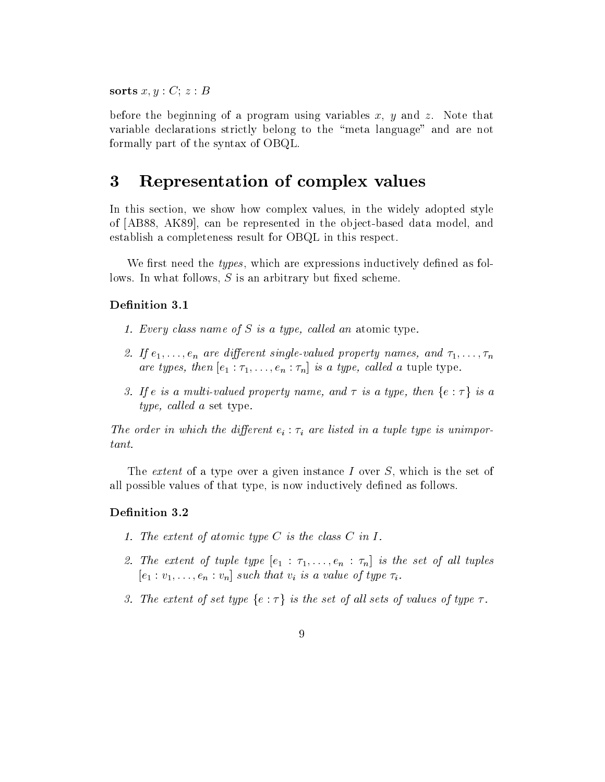sorts  $x, y : C; z : B$ 

before the beginning of a program using variables x, y and z. Note that variable declarations strictly belong to the "meta language" and are not formally part of the syntax of OBQL

#### Representation of complex values 3

In this section, we show how complex values, in the widely adopted style of AB AK  can be represented in the ob ject-based data model and establish a completeness result for OBQL in this respect

We first need the *types*, which are expressions inductively defined as follows. In what follows,  $S$  is an arbitrary but fixed scheme.

### Definition 3.1

- every class in the property of the state of  $\alpha$
- if en are dierent singlevalued property and and and the property control of the single single single single si are the type-dimensional type-dimensional contract  $\partial T$  and  $\partial T$  is a tuple type-dimensional contract of  $\partial T$
- 3. If e is a multi-valued property name, and  $\tau$  is a type, then  $\{e : \tau\}$  is a type- cal led a set type

The order in which the different  $e_i : \tau_i$  are listed in a tuple type is unimportant

The *extent* of a type over a given instance I over  $S$ , which is the set of all possible values of that type, is now inductively defined as follows.

### Definition 3.2

- 1. The extent of atomic type  $C$  is the class  $C$  in  $I$ .
- $\tau$  . Hence the strip tuples type e  $\tau$  is the set of all tuples the set of all tuples to all tuples of all tuples of all tuples of all tuples of all tuples of all tuples of all tuples of all tuples of all tuples of all e v---en vn such that vi is <sup>a</sup> value of type i
- 3. The extent of set type  $\{e : \tau\}$  is the set of all sets of values of type  $\tau$ .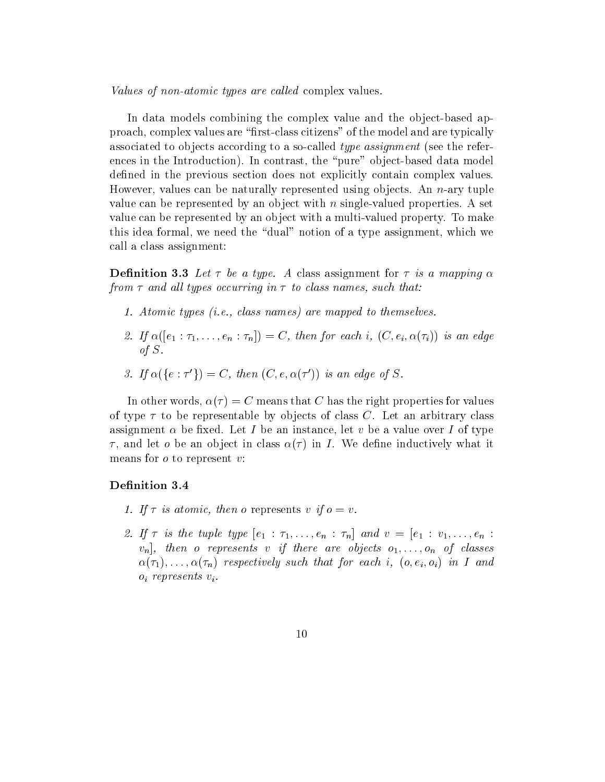Values of non-atomic types are called complex values.

In data models combining the complex value and the object-based approach complex values are rst-class citizens of the model and are typically associated to objects according to a social the reference the reference in the reference of the reference in ences in the Introduction In contrast the pure ob ject-based data model defined in the previous section does not explicitly contain complex values. However values can be naturally represented using ob jects An n-ary tuple value can be represented by an object with n single-valued properties a set of value can be represented by an object with a multi-valued property To make this idea formal, we need the "dual" notion of a type assignment, which we call a class assignment

Denition - Let be a type A class assignment for is a mapping from and al l types occurring in to class names- such that

- Atomic types ie- class names are mapped to themselves
- If e ---en n
 C- then for each i- C ei i is an edge of S
- 3. If  $\alpha({e : \tau'}) = C$ , then  $(C, e, \alpha(\tau'))$  is an edge of S.

In other words,  $\alpha(\tau) = C$  means that C has the right properties for values of type  $\tau$  to be representable by objects of class C. Let an arbitrary class assignment  $\alpha$  be fixed. Let I be an instance, let v be a value over I of type  $\tau$ , and let *o* be an object in class  $\alpha(\tau)$  in *I*. We define inductively what it means for  $o$  to represent  $v$ :

- If is atomic- then o represents v if o v
- $\blacksquare$  . The tuple to the three tuple to the contract to the contract of the contract of the contract of the contract of the contract of the contract of the contract of the contract of the contract of the contract of the -november - represents - y coere comme eyees en en en an are an ---n respectively such that for each i- o ei oi in Iand  $o_i$  represents  $v_i$ .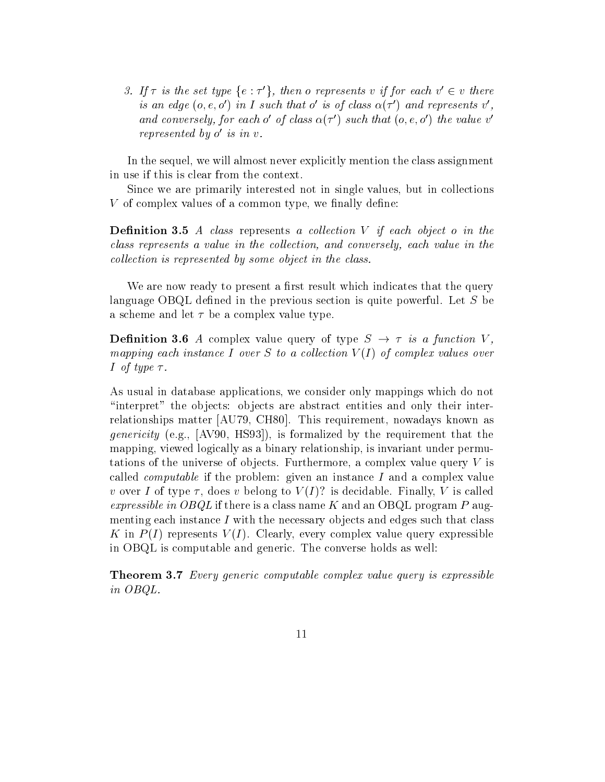3. If  $\tau$  is the set type  $\{e : \tau'\}$ , then o represents v if for each  $v' \in v$  there is an eage  $(o, e, o)$  in I such that  $o$  is  $o<sub>l</sub>$  class  $\alpha<sub>(l</sub>$   $)$  and represents  $v$  , and conversely, for each  $o$  of class  $\alpha(\tau)$  such that  $(o, e, o)$  the value  $v$ represented by 0 is in v.

In the sequel, we will almost never explicitly mention the class assignment in use if this is clear from the context.

Since we are primarily interested not in single values, but in collections  $V$  of complex values of a common type, we finally define:

— A class represents a collection of the collection of the collection of the collection  $\mathcal{L}^{\mathcal{A}}$ ermes represents a value in the collection, mind collection, and converse in the converse  $\emph{collection is represented by some object in the class.}$ 

We are now ready to present a first result which indicates that the query language OBQL defined in the previous section is quite powerful. Let  $S$  be a scheme and let  $\tau$  be a complex value type.

**Definition 3.6** A complex value query of type  $S \rightarrow \tau$  is a function V, mapping each instance I over S to a collection  $V(I)$  of complex values over I of type  $\tau$ .

As usual in database applications we consider only mappings which do not "interpret" the objects: objects are abstract entities and only their interrelationships matter AU in the change of the change of the change of the change of the change of the change of genericity eggs provided by the requirement that the requirement that the requirement that the requirement that the requirement of the requirement of the requirement of the requirement of the requirement of the requirement mapping, viewed logically as a binary relationship, is invariant under permutations of the universe of objects. Furthermore, a complex value query  $V$  is called *computable* if the problem: given an instance  $I$  and a complex value v over I of type  $\tau$ , does v belong to  $V(I)$ ? is decidable. Finally, V is called expressible in  $O B Q L$  if there is a class name K and an OBQL program P augmenting each instance  $I$  with the necessary objects and edges such that class K in  $P(I)$  represents  $V(I)$ . Clearly, every complex value query expressible in OBQL is computable and generic. The converse holds as well:

Theorem - Every generic computable complex value query is expressible in OBQL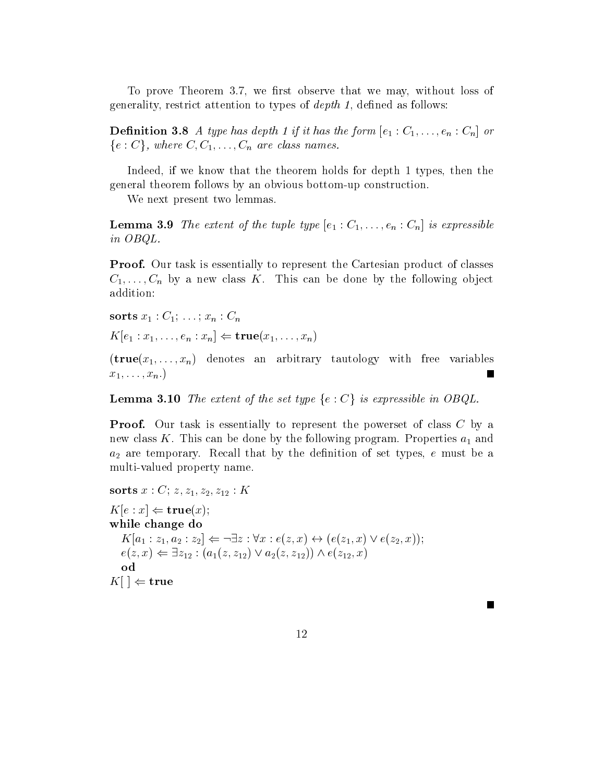To prove Theorem 3.7, we first observe that we may, without loss of generality, restrict attention to types of  $depth 1$ , defined as follows:

 $\partial T$  is a type of the form of  $\partial T$  is the form expectation of  $\partial T$  $\{e:C\}$ , where  $C,C_1,\ldots,C_n$  are class names.

Indeed, if we know that the theorem holds for depth 1 types, then the general theorem follows by an obvious bottom-up construction

We next present two lemmas.

 $\mathcal{L} = \mathcal{L} = \mathcal{L} = \mathcal{L} = \mathcal{L} = \mathcal{L} = \mathcal{L} = \mathcal{L} = \mathcal{L} = \mathcal{L} = \mathcal{L} = \mathcal{L} = \mathcal{L} = \mathcal{L} = \mathcal{L} = \mathcal{L} = \mathcal{L} = \mathcal{L} = \mathcal{L} = \mathcal{L} = \mathcal{L} = \mathcal{L} = \mathcal{L} = \mathcal{L} = \mathcal{L} = \mathcal{L} = \mathcal{L} = \mathcal{L} = \mathcal{L} = \mathcal{L} = \mathcal{L} = \mathcal$ in OBQL

Proof- Our task is essentially to represent the Cartesian product of classes C---Cn by <sup>a</sup> new class K This can be done by the following ob ject addition

 $\mathbf{1}$  -  $\mathbf{1}$  ,  $\mathbf{0}$  -  $\mathbf{0}$ 

 $K[e_1:x_1,\ldots,e_n:x_n] \Leftarrow \mathbf{true}(x_1,\ldots,x_n)$ 

 $\mathcal{N}$  are  $\mathcal{N}$  and denote an arbitrary tautor  $\mathcal{N}$  , and the variables arbitrary tautor and  $\mathcal{N}$ Е x---xn

**Lemma 3.10** The extent of the set type  $\{e : C\}$  is expressible in OBQL.

Proof- Our task is essentially to represent the powerset of class C by a new class K. This can be done by the following program. Properties  $a_1$  and  $a_2$  are temporary. Recall that by the definition of set types, e must be a multi-valued property name

sorts  $x : C; z, z_1, z_2, z_{12} : K$  $K[e : x] \Leftarrow \mathbf{true}(x);$ while change do  $K[a_1:z_1,a_2:z_2] \Leftarrow \neg \exists z : \forall x : e(z,x) \leftrightarrow (e(z_1,x) \vee e(z_2,x));$  $e(z, x) \Leftarrow \exists z_{12} : (a_1(z, z_{12}) \vee a_2(z, z_{12})) \wedge e(z_{12}, x)$ od  $|K| \mid \Leftarrow$  true

п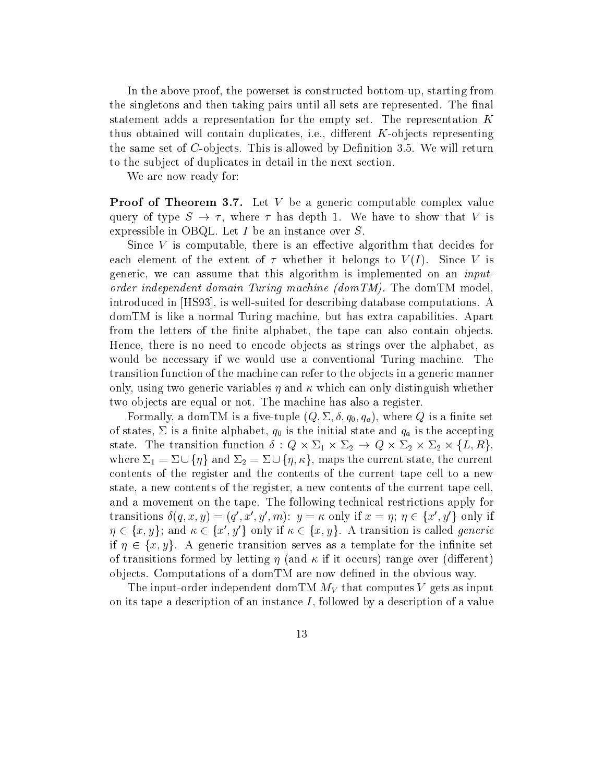in the above proof the powerset is constructed bottom-distribution is constructed bottomthe singletons and then taking pairs until all sets are represented. The final statement adds a representation for the empty set. The representation  $K$ thus obtained willcontain duplicates ie dierent K-objects representing the same set of C-S-piece **This is allowed by Theodores I** allowed by Denition and Denition **By Denition** to the subject of duplicates in detail in the next section.

We are now ready for

Proof of Theorem -- Let V be a generic computable complex value query of type  $S \to \tau$ , where  $\tau$  has depth 1. We have to show that V is expressible in OBQL. Let  $I$  be an instance over  $S$ .

Since  $V$  is computable, there is an effective algorithm that decides for each element of the extent of  $\tau$  whether it belongs to  $V(I)$ . Since V is generic, we can assume that this algorithm is implemented on an *input* order independent domain Turing machine  $(domTM)$ . The domTM model introduced in HS is well-computed for describing database computations and the computations are computations an domTM is like a normal Turing machine, but has extra capabilities. Apart from the letters of the finite alphabet, the tape can also contain objects. Hence, there is no need to encode objects as strings over the alphabet, as would be necessary if we would use a conventional Turing machine. The transition function of the machine can refer to the objects in a generic manner only, using two generic variables  $\eta$  and  $\kappa$  which can only distinguish whether two objects are equal or not. The machine has also a register.

Formally a domTM is a ve-tuple Q q- qa
 where Q is a nite set of states is the initial state and dependence and  $\eta$  is the acception of the initial state and accepting and state. The transition function  $\delta: Q \times \Sigma_1 \times \Sigma_2 \to Q \times \Sigma_2 \times \Sigma_2 \times \{L, R\}$ where  $\Sigma_1 = \Sigma \cup \{\eta\}$  and  $\Sigma_2 = \Sigma \cup \{\eta, \kappa\}$ , maps the current state, the current contents of the register and the contents of the current tape cell to a new state, a new contents of the register, a new contents of the current tape cell. and a movement on the tape. The following technical restrictions apply for transitions  $\delta(q, x, y) = (q', x', y', m)$ :  $y = \kappa$  only if  $x = \eta$ ;  $\eta \in \{x', y'\}$  only if  $\eta \in \{x, y\}$ ; and  $\kappa \in \{x', y'\}$  only if  $\kappa \in \{x, y\}$ . A transition is called *generic* if  $\eta \in \{x, y\}$ . A generic transition serves as a template for the infinite set of transitions formed by letting  $\eta$  (and  $\kappa$  if it occurs) range over (different) objects. Computations of a domTM are now defined in the obvious way.

The input-order independent domTM MV that computes <sup>V</sup> gets as input on its tape a description of an instance  $I$ , followed by a description of a value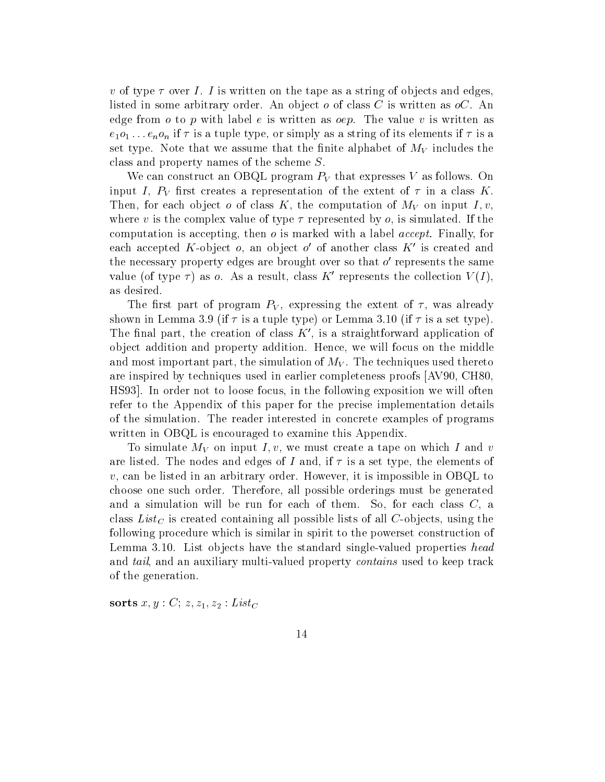v of type  $\tau$  over I. I is written on the tape as a string of objects and edges, listed in some arbitrary order. An object  $o$  of class C is written as  $oC$ . An edge from  $o$  to  $p$  with label  $e$  is written as  $oep$ . The value  $v$  is written as eo ---enon if is a tuple type or simply as a string of its elements if is a set type. Note that we assume that the finite alphabet of  $M_V$  includes the class and property names of the scheme S

We can construct an OBQL program  $P_V$  that expresses V as follows. On input I,  $P_V$  first creates a representation of the extent of  $\tau$  in a class K. Then, for each object o of class K, the computation of  $M_V$  on input I, v, where v is the complex value of type  $\tau$  represented by  $o$ , is simulated. If the computation is accepting, then  $o$  is marked with a label *accept*. Finally, for each accepted  $\Lambda$ -object  $o$ , an object  $o$  of another class  $\Lambda$  is created and the necessary property edges are brought over so that o represents the same value (of type  $\tau$ ) as o. As a result, class K' represents the collection  $V(I)$ , as desired

The first part of program  $P_V$ , expressing the extent of  $\tau$ , was already shown in Lemma . It is a set to the set type type to the continue to the set that is a set of the set of the s The final part, the creation of class  $K'$ , is a straightforward application of object addition and property addition. Hence, we will focus on the middle and most important part, the simulation of  $M_V$ . The techniques used thereto are inspired by techniques used in earlier completeness proofs AV CH HS93. In order not to loose focus, in the following exposition we will often refer to the Appendix of this paper for the precise implementation details of the simulation. The reader interested in concrete examples of programs written in OBQL is encouraged to examine this Appendix

To simulate  $M_V$  on input I, v, we must create a tape on which I and v are listed. The nodes and edges of I and, if  $\tau$  is a set type, the elements of  $v$ , can be listed in an arbitrary order. However, it is impossible in OBQL to choose one such order. Therefore, all possible orderings must be generated and a simulation will be run for each of them. So, for each class  $C$ , a class Lists Containing all possible lists of all possible lists of all  $\alpha$ following procedure which is similar in spirit to the powerset construction of Lemma List ob jects have the standard single-valued properties head value tailly multi-tail multi-multi-property multi-stracted property contains used to keep them the contains o of the generation

sorts  $x, y : C; z, z_1, z_2 : List_C$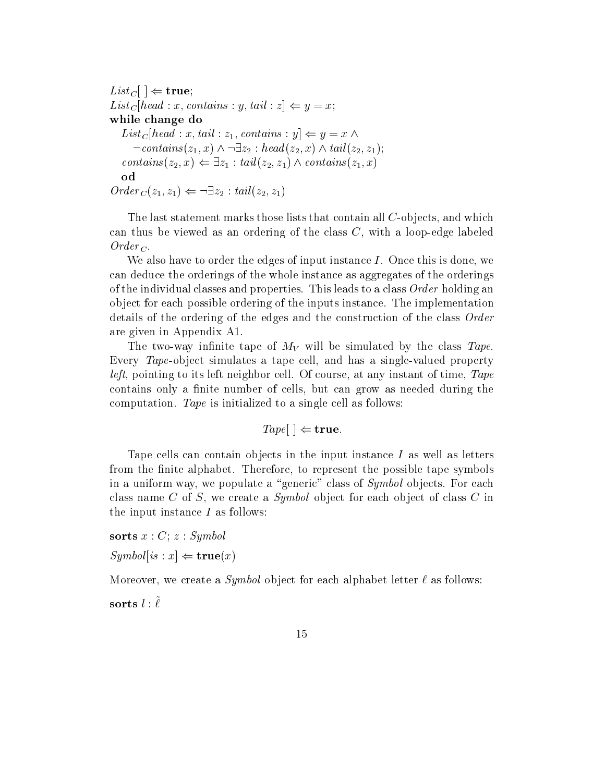$List_C\, \mid \ \Leftarrow \mathbf{true};$  $List_C|head:x, contains:y, tail: z| \Leftarrow y=x;$ while change do  $List_C|head:x, tail:z_1, contains:y|\Leftarrow y=x \wedge$  $\neg contains(z_1, x) \land \neg \exists z_2 : head(z_2, x) \land tail(z_2, z_1)$  $contains(z_2, x) \leftarrow \exists z_1 : tail(z_2, z_1) \wedge contains(z_1, x)$  $Order_C(z_1, z_1) \leftarrow \neg \exists z_2 : tail(z_2, z_1)$ 

The last statement marks those lists that contain all C-objects and which can thus be viewed as an ordering of the class C with a loop-edge labeled Order <sup>C</sup>

We also have to order the edges of input instance  $I$ . Once this is done, we can deduce the orderings of the whole instance as aggregates of the orderings of the individual classes and properties. This leads to a class  $Order$  holding an object for each possible ordering of the inputs instance. The implementation details of the ordering of the edges and the construction of the class Order are given in Appendix A

The two-class tape of MV will be simulated by the class Tape of MV will be simulated by the class Tape of Tape Every Tape-ob ject simulates a tape cell and has a single-valued property *left*, pointing to its left neighbor cell. Of course, at any instant of time,  $Tape$ contains only a finite number of cells, but can grow as needed during the computation. Tape is initialized to a single cell as follows:

$$
Tape[ ] \Leftarrow \textbf{true}.
$$

Tape cells can contain objects in the input instance  $I$  as well as letters from the finite alphabet. Therefore, to represent the possible tape symbols in a uniform way, we populate a "generic" class of  $Symbol$  objects. For each class name C of S, we create a Symbol object for each object of class C in the input instance  $I$  as follows:

sorts  $x : C$ ;  $z : Symbol$  $Symboll$  is  $x \geq \mathbf{true}(x)$ 

Moreover, we create a *Symbol* object for each alphabet letter  $\ell$  as follows:

 $\mathbf{S}$ ortus  $\iota$ ,  $\iota$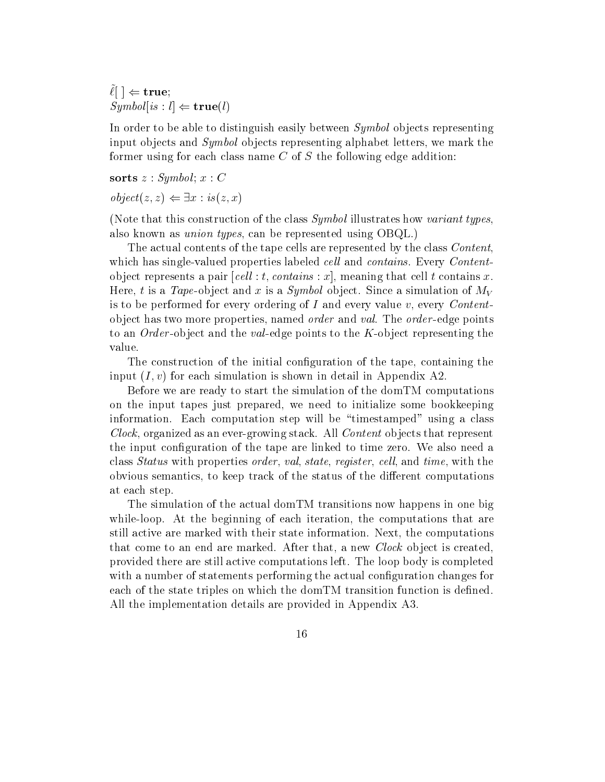$\ell$   $\vert \ell \rangle$  true;  $Symboll$  is  $: l \Leftrightarrow \textbf{true}(l)$ 

In order to be able to distinguish easily between Symbol objects representing input objects and  $Symbol$  objects representing alphabet letters, we mark the former using for each class name  $C$  of  $S$  the following edge addition:

sorts  $z : Symbol; x : C$  $object(z, z) \Leftarrow \exists x : is(z, x)$ 

(Note that this construction of the class  $Symbol$  illustrates how variant types, also known as *union types*, can be represented using  $OBQL$ .)

The actual contents of the tape cells are represented by the class *Content*, valued properties labeled properties labeled cell and contains Every Content Content Content - Content - Content object represents a pair  $\lceil cell : t, contains : x \rceil$ , meaning that cell t contains x. Here t is a Tape-ob ject and <sup>x</sup> is a Symbol ob ject Since a simulation of MV is to be performed for every ordering of I and every value  $v$ , every *Content*ob ject has two more properties named order and val The order -edge points to the Order - of the value the value of  $\Delta$ -points to the K-C-points to the K-C-points the K-C-points the K-Cvalue

The construction of the initial configuration of the tape, containing the input  $(I, v)$  for each simulation is shown in detail in Appendix A2.

Before we are ready to start the simulation of the domTM computations on the input tapes just prepared, we need to initialize some bookkeeping information. Each computation step will be "timestamped" using a class Clock organized as an ever-growing stack All Content ob jects that represent the input configuration of the tape are linked to time zero. We also need a class *Status* with properties *order*, *val*, *state*, *register*, *cell*, and *time*, with the obvious semantics, to keep track of the status of the different computations at each step

The simulation of the actual domTM transitions now happens in one big while-loop At the beginning of each iteration the computations that are still active are marked with their state information. Next, the computations that come to an end are marked. After that, a new *Clock* object is created, provided there are still active computations left. The loop body is completed with a number of statements performing the actual configuration changes for each of the state triples on which the dom $TM$  transition function is defined. All the implementation details are provided in Appendix A3.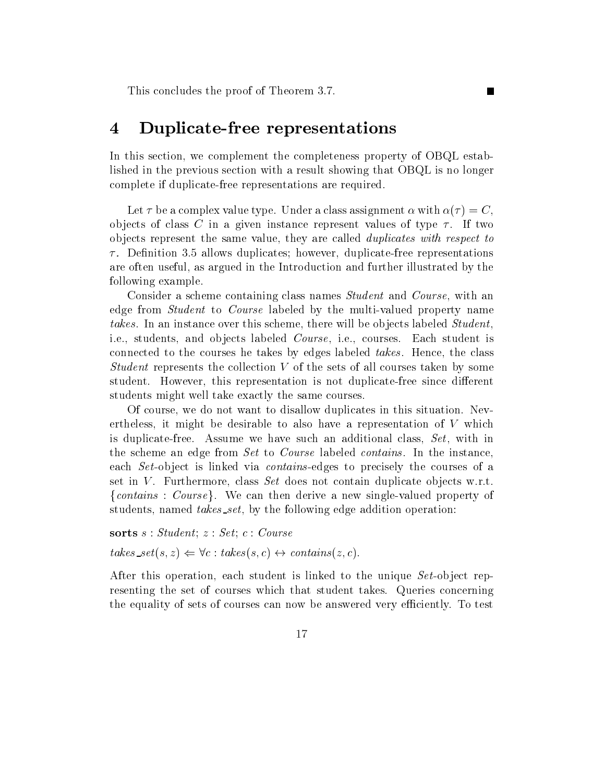This concludes the proof of Theorem 3.7.

# Duplicate-free representations

In this section, we complement the completeness property of OBQL established in the previous section with a result showing that OBQL is no longer complete if duplicate-free representations are required

Г

Let  $\tau$  be a complex value type. Under a class assignment  $\alpha$  with  $\alpha(\tau) = C$ , objects of class C in a given instance represent values of type  $\tau$ . If two objects represent the same value, they are called *duplicates with respect to*  Denition allows duplicates however duplicate-free representations are often useful as argued in the Introduction and further illustrated by the following example

Consider a scheme containing class names *Student* and *Course*, with an edge from Studentto Course labeled by the multi-valued property name takes. In an instance over this scheme, there will be objects labeled Student, i.e., students, and objects labeled *Course*, i.e., courses. Each student is connected to the courses he takes by edges labeled takes. Hence, the class Student represents the collection  $V$  of the sets of all courses taken by some student However this representation isnot duplicate-free since dierent students might well take exactly the same courses

Of course, we do not want to disallow duplicates in this situation. Nevertheless, it might be desirable to also have a representation of  $V$  which is duplicate-free Assume we have such an additional class Set with in the scheme an edge from Set to Course labeled contains. In the instance, each Set - ob ject is different of the containing of an approached via contains of a contact of a course of a set in V. Furthermore, class Set does not contain duplicate objects w.r.t. {*contains* :  $Course$ }. We can then derive a new single-valued property of students, named *takes\_set*, by the following edge addition operation:

sorts  $s : Student; z : Set; c : Course$  $takes\_set(s, z) \Leftrightarrow \forall c : takes(s, c) \leftrightarrow contains(z, c).$ 

After this operation each student is linked to the unique Set -ob ject representing the set of courses which that student takes Queries concerning the equality of sets of courses can now be answered very efficiently. To test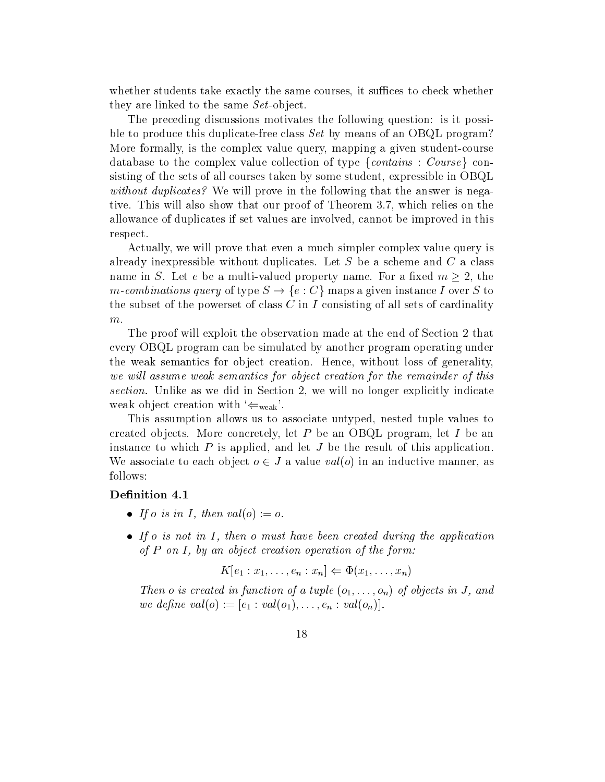whether students take exactly the same courses, it suffices to check whether they are linked to the same Set - and the same Set - and the same Set - and the same Set - and the same Set -

The preceding discussions motivates the following question: is it possible to produce this duplicate-free class Set by means of an OBQL program More formally is the complex value query mapping a given student-course database to the complex value collection of type  $\{contains: Course\}$  consisting of the sets of all courses taken by some student, expressible in  $O B Q L$ without duplicates? We will prove in the following that the answer is negative. This will also show that our proof of Theorem 3.7, which relies on the allowance of duplicates if set values are involved cannot be improved in this respect

Actually, we will prove that even a much simpler complex value query is already inexpressible without duplicates. Let S be a scheme and  $C$  a class name in S. Let e be a multi-valued property name. For a fixed  $m \geq 2$ , the m-combinations query of type  $S \to \{e : C\}$  maps a given instance I over S to the subset of the powerset of class  $C$  in  $I$  consisting of all sets of cardinality  $m$ .

The proof will exploit the observation made at the end of Section 2 that every OBQL program can be simulated by another program operating under the weak semantics for object creation. Hence, without loss of generality. we will assume weak semantics for object creation for the remainder of this section. Unlike as we did in Section 2, we will no longer explicitly indicate weak object creation with  $\Leftarrow_{\text{weak}}$ .

This assumption allows us to associate untyped, nested tuple values to created objects. More concretely, let P be an OBQL program, let I be an instance to which  $P$  is applied, and let  $J$  be the result of this application. We associate to each object  $o \in J$  a value  $val(o)$  in an inductive manner, as follows

## Definition 4.1

- $\bullet$  If o is in 1, then valle)  $:= o$ .
- $\bullet$  If  $o$  is not in 1, then  $o$  must have been created during the application of P on I - by an object creation operation of the form

$$
K[e_1:x_1,\ldots,e_n:x_n] \Leftarrow \Phi(x_1,\ldots,x_n)
$$

on the state in the state of a tuple of a tuple of a tuple of a tuple of a tuple of a tuple of a tuple of a tu e dene valore valore valore valore valore valore valore valore valore valore valore valore valore valore valor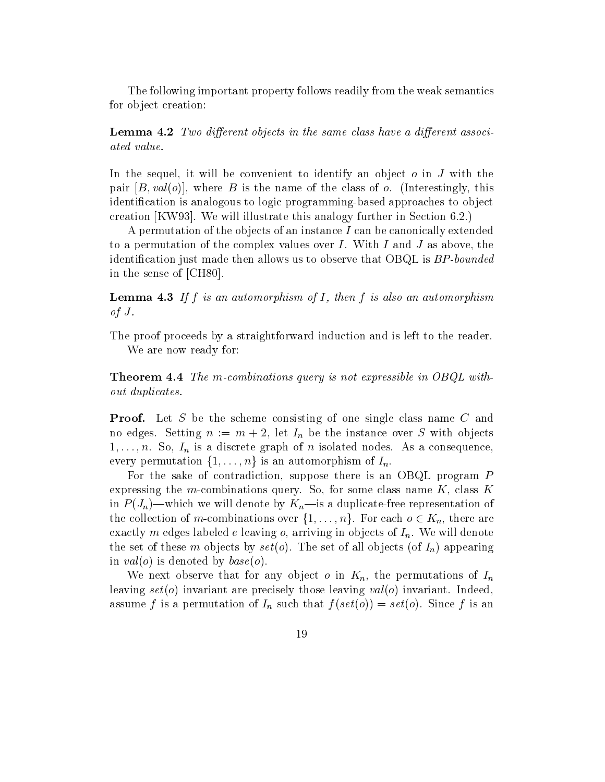The following important property follows readily from the weak semantics for object creation:

Lemma - Two dierent objects in the same class have a dierent associ ated value

In the sequel, it will be convenient to identify an object  $\sigma$  in  $J$  with the pair  $[B, val(o)]$ , where B is the name of the class of o. (Interestingly, this identication is analogous to logic programming-based approaches to ob ject creation [KW93]. We will illustrate this analogy further in Section  $6.2$ .)

A permutation of the objects of an instance  $I$  can be canonically extended to a permutation of the complex values over  $I$ . With  $I$  and  $J$  as above, the identification just made then allows us to observe that  $OBQL$  is  $BP$ -bounded in the sense of  $\mathbb{R}^n$  in the sense of  $\mathbb{R}^n$  in the sense of  $\mathbb{R}^n$  in the sense of  $\mathbb{R}^n$ 

Lemma - If f is an automorphism of I - then f is also an automorphism of  $J$ .

The proof proceeds by a straightforward induction and is left to the reader. We are now ready for

Theorem - The mcombinations query is not expressible in OBQL with out duplicates

Proof- Let S be the scheme consisting of one single class name C and no edges. Setting  $n := m + 2$ , let  $I_n$  be the instance over S with objects -indicated nodes and in its analysis and its analysis and its consequence  $\mathbf{u}$  and  $\mathbf{v}$ every permutation  $\{1,\ldots,n\}$  is an automorphism of  $I_n$ .

For the sake of contradiction, suppose there is an OBQL program  $P$ expressions query some modern component some component of some component and some component and component and  $i = h$ the collection of m-combinations over  $\{1,\ldots,n\}$ . For each  $o \in K_n$ , there are exactly m edges labeled e leaving o, arriving in objects of  $I_n$ . We will denote the set of these m objects by  $set(o)$ . The set of all objects (of  $I_n$ ) appearing in  $val(o)$  is denoted by  $base(o)$ .

We next observe that for any object o in  $K_n$ , the permutations of  $I_n$ leaving  $set(o)$  invariant are precisely those leaving  $val(o)$  invariant. Indeed, assume f is a permutation of  $I_n$  such that  $f(set(o)) = set(o)$ . Since f is an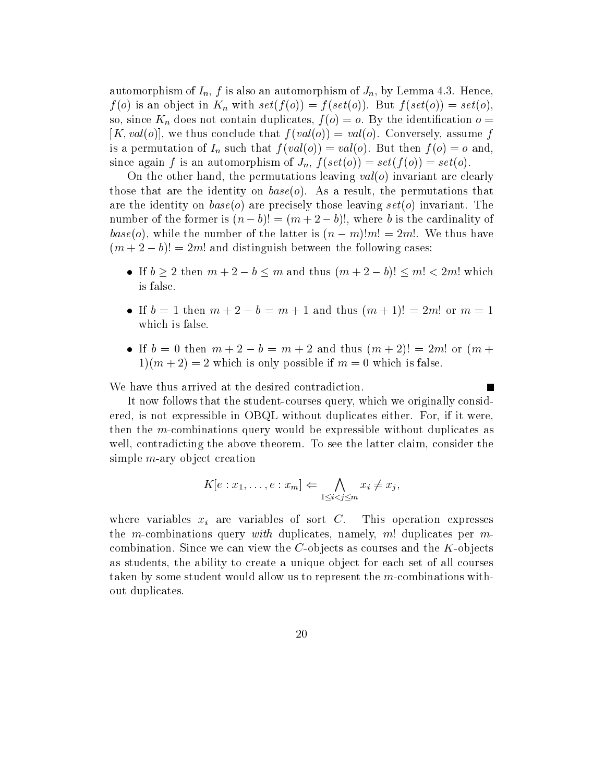automorphism of  $I_n$ , f is also an automorphism of  $J_n$ , by Lemma 4.3. Hence,  $f(o)$  is an object in  $K_n$  with  $set(f(o)) = f(set(o))$ . But  $f(set(o)) = set(o)$ , so, since  $K_n$  does not contain duplicates,  $f(o) = o$ . By the identification  $o =$  $[K, val(o)],$  we thus conclude that  $f(val(o)) = val(o)$ . Conversely, assume f is a permutation of  $I_n$  such that  $f(val(o)) = val(o)$ . But then  $f(o) = o$  and, since again f is an automorphism of  $J_n$ ,  $f(set(o)) = set(f(o)) = set(o)$ .

On the other hand, the permutations leaving  $val(o)$  invariant are clearly those that are the identity on  $base(o)$ . As a result, the permutations that are the identity on  $base(o)$  are precisely those leaving  $set(o)$  invariant. The number of the former is  $(n - b)! = (m + 2 - b)!$ , where b is the cardinality of base(o), while the number of the latter is  $(n - m)!m! = 2m!$ . We thus have  $(m + 2 - b)! = 2m!$  and distinguish between the following cases:

- If  $b \geq 2$  then  $m + 2 b \leq m$  and thus  $(m + 2 b)! \leq m! < 2m!$  which is false
- If  $b = 1$  then  $m + 2 b = m + 1$  and thus  $(m + 1)! = 2m!$  or  $m = 1$ which is false
- If  $b = 0$  then  $m + 2 b = m + 2$  and thus  $(m + 2)! = 2m!$  or  $(m + 1)$ m " which is only possible if m which is false if m which is false if  $\mathbf{w}$

 $\overline{\phantom{a}}$ 

We have thus arrived at the desired contradiction.

It now follows that the student-courses query which we originally considered, is not expressible in OBQL without duplicates either. For, if it were, then the m-combinations query would be expressible without duplicates as well, contradicting the above theorem. To see the latter claim, consider the simple manager and in the simple manager of the simple state of the simple state of the simple state of the simple state of the simple state of the simple state of the simple state of the simple state of the simple state o

$$
K[e:x_1,\ldots,e:x_m]\Leftarrow \bigwedge_{1\leq i
$$

where variables  $x_i$  are variables of sort C. This operation expresses the m-combinations query with duplicates namely matrix  $\mathbf{r}$  duplicates per m-combinations per m-combinations per m-combinations per m-combinations per m-combinations per m-combinations  $\mathbf{r}$ combination Since we can view the C-ob jects as courses and the K-ob jects as students, the ability to create a unique object for each set of all courses taken by some student would allow us to represent the m-combinations without duplicates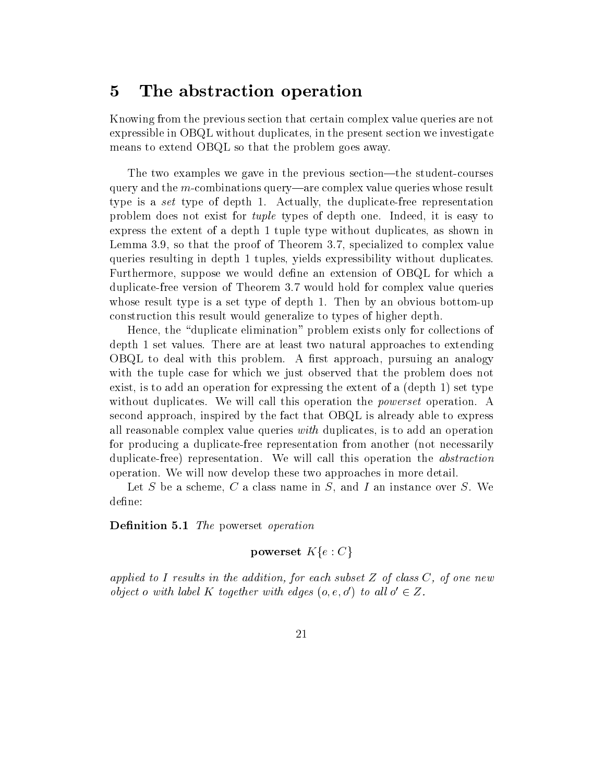#### $\overline{5}$ The abstraction operation

Knowing from the previous section that certain complex value queries are not expressible in OBQL without duplicates in the present section we investigate means to extend OBQL so that the problem goes away.

The two examples we gave in the previous section#the student-courses query and the m-combinations are query are complexed value query are complex value  $\sim$ type is a set type of depth Actually the duplicate-free representation problem does not exist for *tuple* types of depth one. Indeed, it is easy to express the extent of a depth 1 tuple type without duplicates, as shown in Lemma  $3.9$ , so that the proof of Theorem  $3.7$ , specialized to complex value queries resulting in depth 1 tuples, yields expressibility without duplicates. Furthermore, suppose we would define an extension of OBQL for which a duplication of the version of the states of the complex value of the complex value of the states of the complex value of the complex value of the complex value of the complex value of the complex value of the complex value whose result type is a set type is a set type of depth  $\mathbb{R}^n$ construction this result would generalize to types of higher depth

Hence, the "duplicate elimination" problem exists only for collections of depth 1 set values. There are at least two natural approaches to extending  $O$ BQL to deal with this problem. A first approach, pursuing an analogy with the tuple case for which we just observed that the problem does not exist, is to add an operation for expressing the extent of a  $(\text{depth } 1)$  set type without duplicates. We will call this operation the *powerset* operation. A second approach inspired by the fact that OBQL is already able to express all reasonable complex value queries with duplicates is to add an operation for producing a duplicate-free representation from another not necessarily duplication and a proportion will call the called this operation the abstraction that is abstraction of the abstraction of the abstraction of the abstraction of the abstraction of the abstraction of the abstraction of the operation We will now develop these two approaches in more detail

Let S be a scheme, C a class name in S, and I an instance over S. We define:

— <del>the powerset of powerset operation</del>

powerset  $K\{e : C\}$ 

applied to I results in the addition-to-in-to-in-to-in-to-in-to-in-to-in-to-in-to-in-to-in-to-in-to-in-to-in-to-in-to-in-to-in-to-in-to-in-to-in-to-in-to-in-to-in-to-in-to-in-to-in-to-in-to-in-to-in-to-in-to-in-to-in-to-in object o with label K together with edges  $(o, e, o')$  to all  $o' \in Z$ .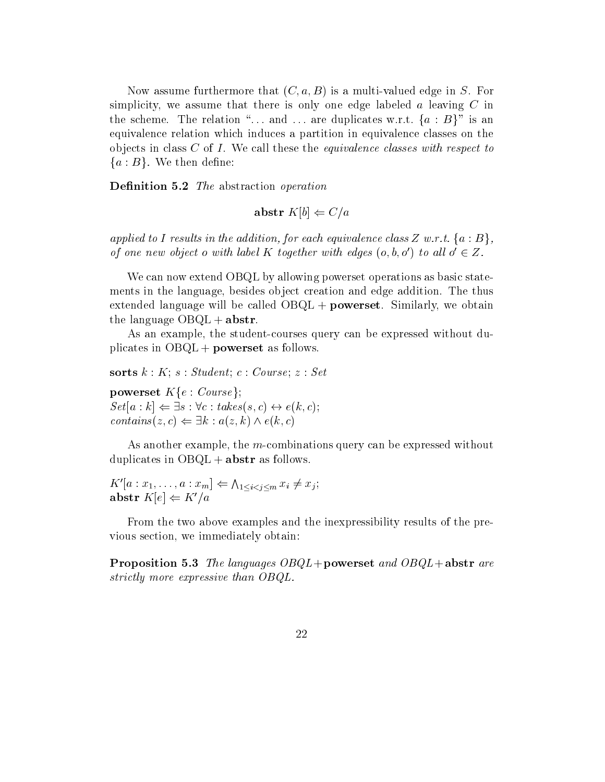Now assume furthermore that C a B is a multi-valued edge in S For simplicity, we assume that there is only one edge labeled  $a$  leaving  $C$  in the scheme. The relation "... and ... are duplicates w.r.t.  $\{a : B\}$ " is an equivalence relation which induces a partition in equivalence classes on the objects in class  $C$  of  $I$ . We call these the *equivalence classes with respect to*  ${a : B}.$  We then define:

Denition - The abstraction operation

$$
abstr K[b] \Leftarrow C/a
$$

applied to I results in the addition, for each equivalence class Z w.r.t.  $\{a : B\},\$ of one new object o with label K together with edges  $(o, b, o')$  to all  $o' \in Z$ .

We can now extend OBQL by allowing powerset operations as basic statements in the language, besides object creation and edge addition. The thus extended language will be called  $O B Q L + powerset$ . Similarly, we obtain the language  $\text{OBQL} + \text{abstr}$ .

as an example the student-courses of the student-courses with the student-course of the course of the course o plicates in  $OBQL + powerset$  as follows.

sorts  $k : K$ ;  $s : Student$ ;  $c : Course$ ;  $z : Set$ 

powerset  $K\{e: Course\}$ ;  $Set|a:k| \Leftarrow \exists s : \forall c : takes(s,c) \leftrightarrow e(k,c);$  $contains(z, c) \Leftarrow \exists k : a(z, k) \wedge e(k, c)$ 

as another examples the m-combinations query can be expressed without with duplicates in  $OBQL + abstr$  as follows.

$$
K'[a:x_1,\ldots,a:x_m] \Leftarrow \Lambda_{1\leq i  
abstr  $K[e] \Leftarrow K'/a$
$$

From the two above examples and the inexpressibility results of the previous section, we immediately obtain:

Proposition - The languages OBQL"powerset and OBQL"abstr are strictly more expressive than OBQL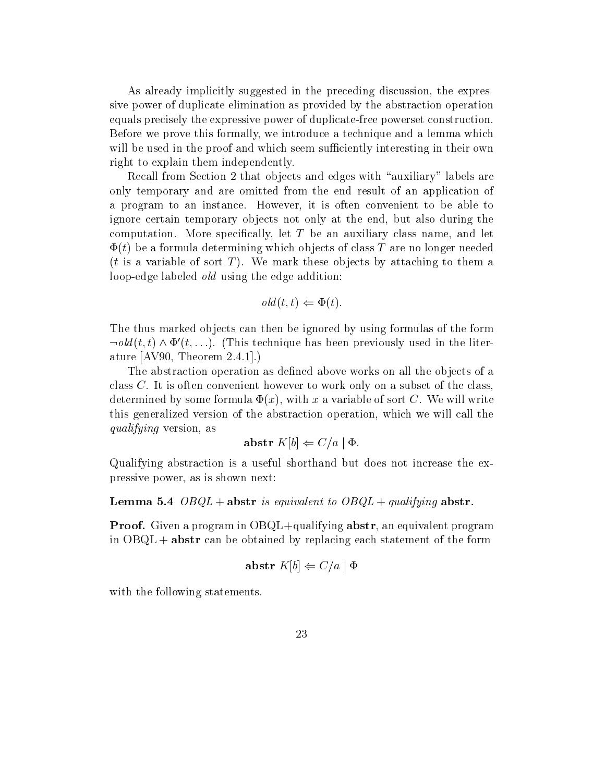As already implicitly suggested in the preceding discussion the expressive power of duplicate elimination as provided by the abstraction operation equals precisely the expressive power of duplicate-free powerset construction Before we prove this formally, we introduce a technique and a lemma which will be used in the proof and which seem sufficiently interesting in their own right to explain them independently

Recall from Section 2 that objects and edges with "auxiliary" labels are only temporary and are omitted from the end result of an application of a program to an instance. However, it is often convenient to be able to ignore certain temporary objects not only at the end, but also during the computation. More specifically, let  $T$  be an auxiliary class name, and let  $\Phi(t)$  be a formula determining which objects of class T are no longer needed  $(t$  is a variable of sort T). We mark these objects by attaching to them a loop-edge labeled old using the edge addition

$$
old(t, t) \Leftarrow \Phi(t).
$$

The thus marked objects can then be ignored by using formulas of the form  $\neg old(t, t) \wedge \Phi'(t, \ldots)$ . (This technique has been previously used in the literature Avenue Avenue and Avenue Avenue Avenue Avenue Avenue Avenue Avenue Avenue Avenue Avenue Avenue Avenue Av

The abstraction operation as defined above works on all the objects of a class  $C$ . It is often convenient however to work only on a subset of the class, determined by some formula  $\Phi(x)$ , with x a variable of sort C. We will write this generalized version of the abstraction operation which we will call the qualifying version, as

$$
abstr K[b] \Leftarrow C/a \mid \Phi.
$$

Qualifying abstraction is a useful shorthand but does not increase the expressive power, as is shown next:

Lemma - OBQL " abstr is equivalent to OBQL " qualifying abstr

 $\mathcal P$  is a proof-dimension-dimension-dimensional program in  $\mathcal P$  absorption  $\mathcal P$  absorption in equivalent program in  $\mathcal P$ in  $OBQL + abstr$  can be obtained by replacing each statement of the form

$$
\mathbf{abstr}\;K[b]\Leftarrow C/a\mid\Phi
$$

with the following statements.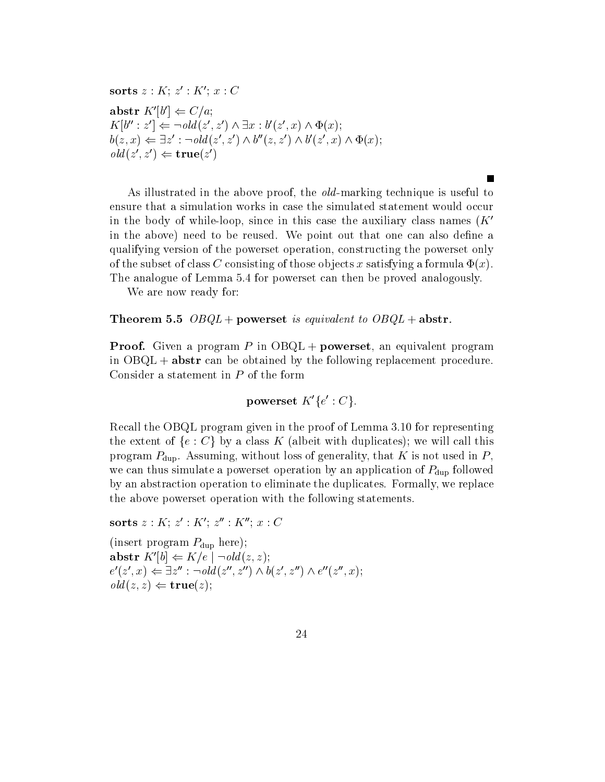$\textbf{SOTUS} \, \mathcal{Z} : \mathbf{A} : \mathcal{Z} \to \mathbf{A} \, ; \, \mathcal{X} : \mathbf{C}$ abstr  $K'[b'] \Leftarrow C/a;$  $K[b'': z'] \Leftarrow \neg old(z', z') \land \exists x : b'(z', x) \land \Phi(x);$  $b(z, x) \Leftarrow \exists z' : \neg old(z', z') \land b''(z, z') \land b'(z', x) \land \Phi(x);$  $old(z', z') \Leftarrow \textbf{true}(z')$ 

as in the second in the above proof the old - the - the - the old - the old - the old - the - the - the - the ensure that a simulation works in case the simulated statement would occur in the body of while-loop, since in this case the auxiliary class names ( $\Lambda$ in the above) need to be reused. We point out that one can also define a qualifying version of the powerset operation, constructing the powerset only of the subset of class C consisting of those objects x satisfying a formula  $\Phi(x)$ . The analogue of Lemma 5.4 for powerset can then be proved analogously.

**The Second Service** 

We are now ready for

Theorem - OBQL " powerset is equivalent to OBQL " powerset is equivalent to OBQL " abstract to OBQL " abstract

Proof- Given a program P in OBQL " powerset an equivalent program in  $OBQL + abstr$  can be obtained by the following replacement procedure. Consider a statement in P of the form

 ${\bf powerset\ } K'\{e':C\}.$ 

 $\mathbb{R}$ recall the OBQL program given in the proof of Lemma given in the proof of  $\mathbb{R}$ the extent of  $\{e : C\}$  by a class K (albeit with duplicates); we will call this program  $P_{\text{dup}}$ . Assuming, without loss of generality, that K is not used in P, we can thus simulate a powerset operation by an application of  $P_{\text{dup}}$  followed by an abstraction operation to eliminate the duplicates. Formally, we replace the above powerset operation with the following statements

 $\textbf{SOTUS} \, Z : \, \mathbf{A}$ ;  $Z : \mathbf{A}$ ;  $Z : \mathbf{A}$ ;  $x : \mathbf{C}$ 

(insert program  $P_{\text{dup}}$  here);  $\mathbf{a} \mathbf{b} \mathbf{str} \; K' [b] \Leftarrow K/e \; | \; \neg \mathit{old}(z,z);$  $e'(z',x) \Leftarrow \exists z'': \neg old(z'',z'') \wedge b(z',z'') \wedge e''(z'',x);$  $old(z, z) \Leftarrow \mathbf{true}(z);$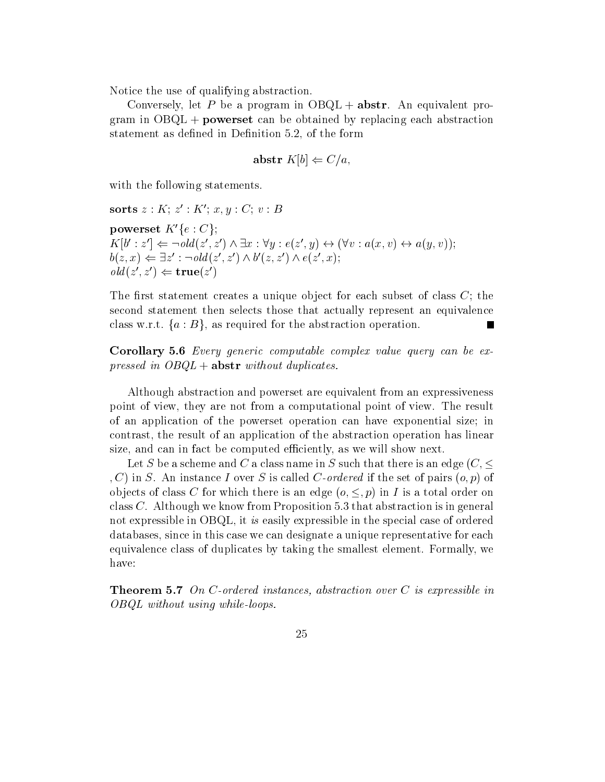Notice the use of qualifying abstraction

Conversely, let P be a program in  $OBQL + abstr$ . An equivalent program in  $OBQL$  + **powerset** can be obtained by replacing each abstraction statement as defined in Definition 5.2, of the form

$$
abstr K[b] \Leftarrow C/a,
$$

with the following statements.

 $\mathbf{S}$  or  $\mathbf{u}$  such  $z$   $\colon \mathbf{A}$   $\colon x, y \colon \mathbf{C}$  or  $\mathbf{D}$ 

powerset  $K'\{e : C\};$  $K[b': z'] \Leftarrow \neg old(z', z') \land \exists x : \forall y : e(z', y) \leftrightarrow (\forall v : a(x, v) \leftrightarrow a(y, v));$  $b(z, x) \Leftarrow \exists z' : \neg old(z', z') \wedge b'(z, z') \wedge e(z', x);$  $old(z', z') \Leftarrow \textbf{true}(z')$ 

The first statement creates a unique object for each subset of class  $C$ ; the second statement then selects those that actually represent an equivalence class w.r.t.  $\{a : B\}$ , as required for the abstraction operation.

Corollary - Every generic computable complex value query can be ex pressed in  $OBQL + abstr$  without duplicates.

Although abstraction and powerset are equivalent from an expressiveness point of view, they are not from a computational point of view. The result of an application of the powerset operation can have exponential size; in contrast, the result of an application of the abstraction operation has linear size, and can in fact be computed efficiently, as we will show next.

Let S be a scheme and C a class name in S such that there is an edge  $(C, \leq)$ , C) in S. An instance I over S is called C-ordered if the set of pairs  $(o, p)$  of objects of class C for which there is an edge  $(o, \leq, p)$  in I is a total order on class  $C$ . Although we know from Proposition 5.3 that abstraction is in general not expressible in OBQL, it is easily expressible in the special case of ordered databases since in this case we can designate a unique representative for each equivalence class of duplicates by taking the smallest element. Formally, we have

— — — — — — — — — University instances, instances-instance instances-instances-instances-instances- $OBQL$  without using while-loops.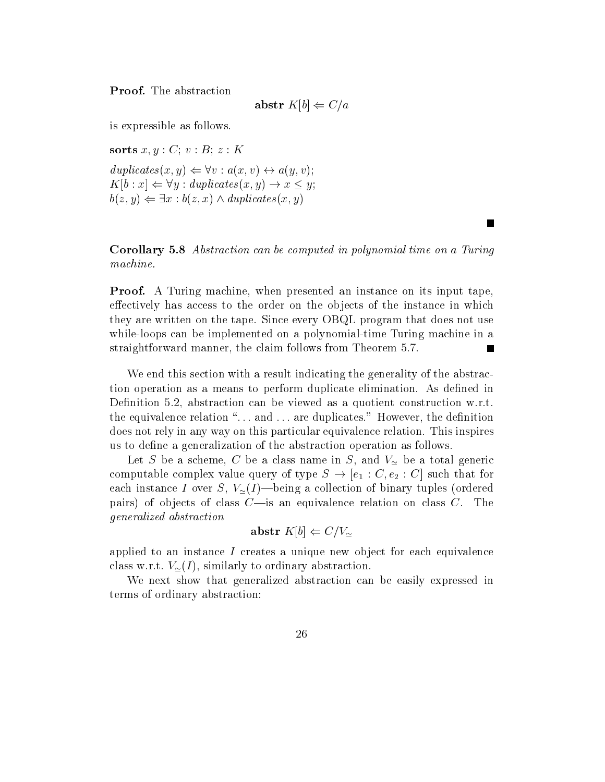$$
\mathbf{abstr}\;K[b]\Leftarrow C/a
$$

is expressible as follows

sorts  $x, y : C$ ;  $v : B$ ;  $z : K$  $diplicates(x, y) \Leftrightarrow \forall v : a(x, v) \leftrightarrow a(y, v);$  $K[b : x] \Leftarrow \forall y : duplicates(x, y) \rightarrow x \leq y;$  $b(z, y) \Leftarrow \exists x : b(z, x) \wedge d$ uplicates $(x, y)$ 

Corollary - Abstraction can be computed in polynomial time on a Turing machine

**The Second Service** 

Proof- A Turing machine when presented an instance on its input tape effectively has access to the order on the objects of the instance in which they are written on the tape. Since every OBQL program that does not use while-time time time the completence on a polynomial-time time to construct matter in a polynomialstraightforward manner, the claim follows from Theorem 5.7.

We end this section with a result indicating the generality of the abstraction operation as a means to perform duplicate elimination. As defined in Definition 5.2, abstraction can be viewed as a quotient construction w.r.t. the equivalence relation --- and --- are duplicates However the denition does not rely in any way on this particular equivalence relation This inspires us to define a generalization of the abstraction operation as follows.

Let S be a scheme, C be a class name in S, and  $V_{\sim}$  be a total generic computable complex value query of type  $S \to [e_1 : C, e_2 : C]$  such that for each instance I over S,  $V_{\simeq}(I)$ —being a collection of binary tuples (ordered pairs) of objects of class  $C$ —is an equivalence relation on class  $C$ . The generalized abstraction

$$
abstr\; K[b] \Leftarrow C/V_{\simeq}
$$

applied to an instance  $I$  creates a unique new object for each equivalence class w.r.t.  $V_{\simeq}(I)$ , similarly to ordinary abstraction.

We next show that generalized abstraction can be easily expressed in terms of ordinary abstraction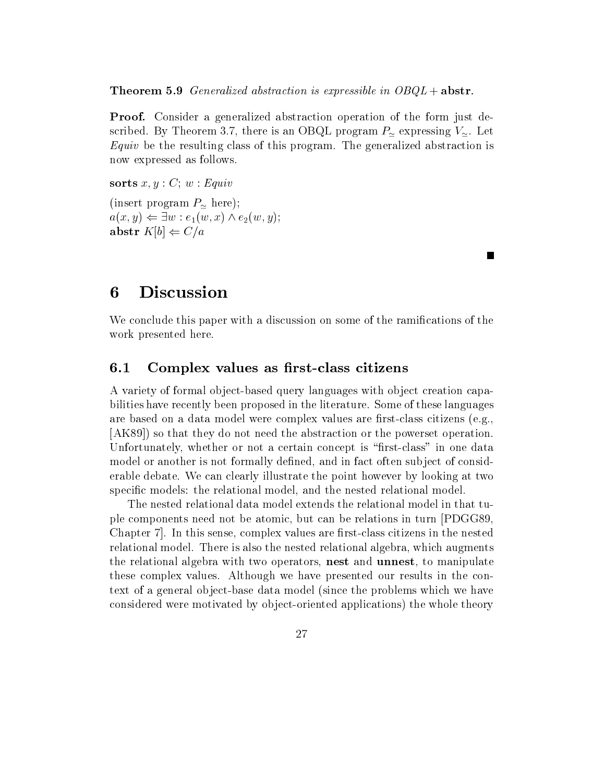Theorem - Generalized abstraction is expressible in OBQL " abstr

Proof- Consider a generalized abstraction operation of the form just described. By Theorem 3.7, there is an OBQL program  $P_{\approx}$  expressing  $V_{\approx}$ . Let  $Equiv$  be the resulting class of this program. The generalized abstraction is now expressed as follows

sorts  $x, y : C$ ;  $w : Equiv$ (insert program  $P_{\simeq}$  here);  $a(x, y) \Leftarrow \exists w : e_1(w, x) \wedge e_2(w, y);$ abstr  $K[b] \Leftarrow C/a$ 

# Discussion

We conclude this paper with a discussion on some of the ramifications of the work presented here

#### $6.1$ Complex values as first-class citizens

A variety of formal ob ject-based query languages with ob ject creation capabilities have recently been proposed in the literature. Some of these languages are based on a data model were complex values are restored and restore are restored to  $\mathcal{A}^{(1)}$ [AK89]) so that they do not need the abstraction or the powerset operation United there are not concept in order concept is reached the concept in our concept in our concept in  $\mathcal{L}$ model or another is not formally defined, and in fact often subject of considerable debate We can clearly illustrate the point however by looking at two specific models: the relational model, and the nested relational model.

The nested relational data model extends the relational model in that tuple components need not be atomic, but can be relations in turn PDGG89. Chapter  In this sense complex values are rst-class citizens in the nested relational model. There is also the nested relational algebra, which augments the relational algebra with two operators, nest and unnest, to manipulate these complex values. Although we have presented our results in the context of a general ob ject-base data model since the problems which we have considered were motivated by observed applications of the whole theory is a set of the whole theory is a set o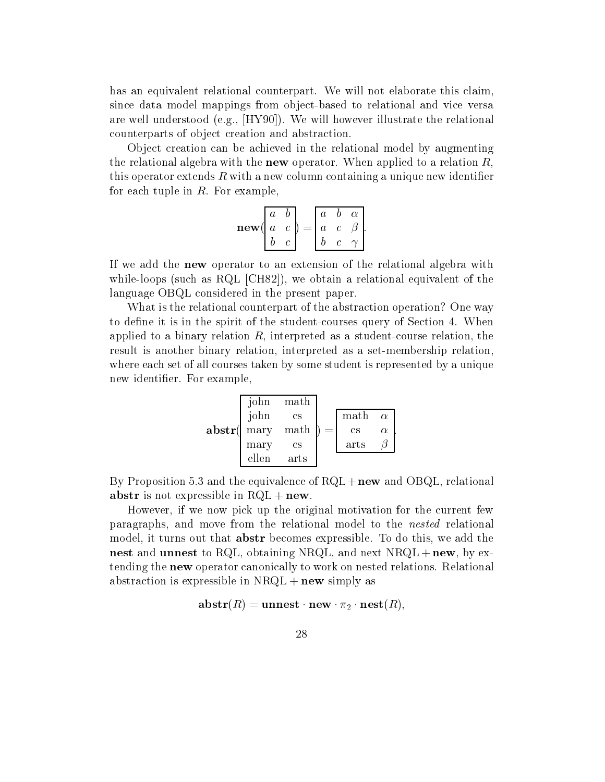has an equivalent relational counterpart. We will not elaborate this claim, since data model mappings from object-based to relational and vice versa are will how well as a relation of the relation of the relation of the relation of the relationships of the rela counterparts of object creation and abstraction

Object creation can be achieved in the relational model by augmenting the relational algebra with the **new** operator. When applied to a relation  $R$ , this operator extends R with a new column containing a unique new identifier for each tuple in  $R$ . For example,

$$
\mathbf{new}\begin{pmatrix} a & b \\ a & c \\ b & c \end{pmatrix} = \begin{pmatrix} a & b & \alpha \\ a & c & \beta \\ b & c & \gamma \end{pmatrix}.
$$

If we add the new operator to an extension of the relational algebra with while-the property such a relation and the relationship and the relationship and the relationship of the contract of the contract of the contract of the contract of the contract of the contract of the contract of the contr language OBQL considered in the present paper

What is the relational counterpart of the abstraction operation? One way to dene it is in the spirit of the student-courses query of Section When applied to a binary relation as any course present as student-course relation to the studentresult is another binary relation interpreted as a set-membership relation where each set of all courses taken by some student is represented by a unique new identifier. For example,

$$
\begin{array}{c}\n\text{John} & \text{math} \\
\text{John} & \text{cs} \\
\text{mary} & \text{math} \\
\text{mary} & \text{cs} \\
\text{ellen} & \text{arts} \\
\end{array}\n\right\} = \begin{bmatrix}\n\text{math} & \alpha \\
\text{cs} & \alpha \\
\text{arts} & \beta\n\end{bmatrix}.
$$

By Proposition 5.3 and the equivalence of  $RQL + new$  and OBQL, relational abstr is not expressible in  $RQL + new$ .

However, if we now pick up the original motivation for the current few paragraphs, and move from the relational model to the *nested* relational model, it turns out that **abstr** becomes expressible. To do this, we add the nest and unnest to RQL, obtaining NRQL, and next  $NRQL + new$ , by extending the **new** operator canonically to work on nested relations. Relational abstraction is expressible in  $NRQL + new$  simply as

$$
\mathbf{abstr}(R) = \mathbf{unnest}\cdot\mathbf{new}\cdot\pi_2\cdot\mathbf{nest}(R),
$$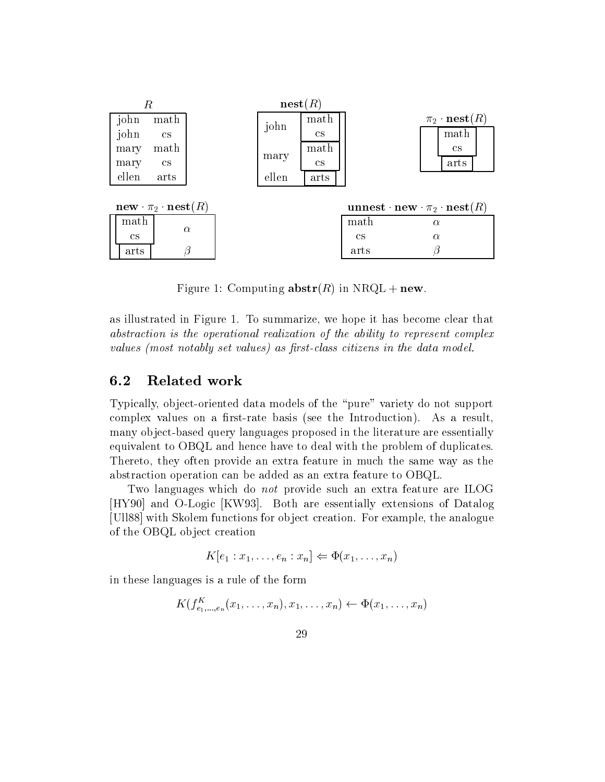

Figure 1: Computing  $\mathbf{abstr}(R)$  in NRQL + new.

as illustrated in Figure 1. To summarize, we hope it has become clear that abstraction is the operational realization of the ability to represent complex values (most notably set values) as first-class citizens in the data model.

## 6.2 Related work

Typically ob ject-oriented data models of the pure variety do not support complex values on a rst-rate basis see the Introduction As a result many ob ject-based query languages proposed in the literature are essentially equivalent to OBQL and hence have to deal with the problem of duplicates Thereto, they often provide an extra feature in much the same way as the abstraction operation can be added as an extra feature to OBQL

Two languages which do not provide such an extra feature are ILOG  $\mathbb{R}$  and  $\mathbb{R}$  and  $\mathbb{R}$  are essentially extensions of  $\mathbb{R}$ [Ull88] with Skolem functions for object creation. For example, the analogue of the OBQL object creation

$$
K[e_1:x_1,\ldots,e_n:x_n]\Leftarrow\Phi(x_1,\ldots,x_n)
$$

in these languages is a rule of the form

$$
K(f_{e_1,\ldots,e_n}^K(x_1,\ldots,x_n),x_1,\ldots,x_n)\leftarrow \Phi(x_1,\ldots,x_n)
$$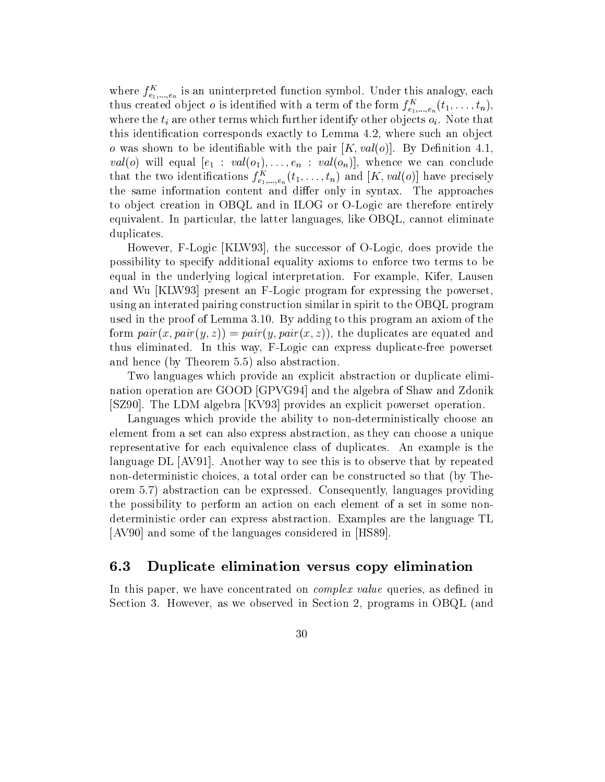where  $J_{e_1,...,e_n}$  is an uninterpreted function symbol. Under this analogy, each thus created object *o* is identified with a term of the form  $f_{e_1,...,e_n}^{\dagger}(t_1,\ldots,t_n)$ , where the  $t_i$  are other terms which further identify other objects  $o_i$ . Note that this identification corresponds exactly to Lemma  $4.2$ , where such an object o was shown to be identifiable with the pair  $[K, val(o)]$ . By Definition 4.1.  $\mathcal{N}$  in the  $\mathcal{N}$  and  $\mathcal{N}$  and  $\mathcal{N}$  and  $\mathcal{N}$  and  $\mathcal{N}$  and  $\mathcal{N}$  and  $\mathcal{N}$  and  $\mathcal{N}$  and  $\mathcal{N}$  and  $\mathcal{N}$  and  $\mathcal{N}$  and  $\mathcal{N}$  and  $\mathcal{N}$  and  $\mathcal{N}$  and  $\mathcal{N}$  and  $\mathcal{N}$  a that the two identifications  $f_{e_1,...,e_n}(i_1,...,i_n)$  and  $[\Lambda, \text{val}(o)]$  have precisely the same information content and differ only in syntax. The approaches to ob ject creation in OBQL and in ILOG or O-Logic are therefore entirely equivalent. In particular, the latter languages, like  $O B Q L$ , cannot eliminate duplicates

However F-Logic KLW  the successor of O-Logic does provide the possibility to specify additional equality axioms to enforce two terms to be equal in the underlying logical interpretation. For example, Kifer, Lausen and Wu KLW  present an F-Logic program for expressing the powerset using an interated pairing construction similar in spirit to the OBQL program  $\mathcal{L}$  is the proof of Lemma and the proposition of the proposition of the this problem and the set of the  $\mathcal{L}$ form  $pair(x, pair(y, z)) = pair(y, pair(x, z))$ , the duplicates are equated and the continuation in the case  $\alpha$  is the case of  $\alpha$  and  $\alpha$  is the powerset of  $\alpha$ and hence (by Theorem  $5.5$ ) also abstraction.

Two languages which provide an explicit abstraction or duplicate elimination operation are GOOD [GPVG94] and the algebra of Shaw and Zdonik SZ  The LDM algebra KV  provides an explicit powerset operation

Languages which provide the ability to non-deterministically choose an element from a set can also express abstraction as they can choose a unique representative for each equivalence class of duplicates. An example is the language  $\text{DL}$  [AV91]. Another way to see this is to observe that by repeated non-deterministic choices a total order can be constructed so that by Theorem 5.7) abstraction can be expressed. Consequently, languages providing the possibility to perform an action on each element of a set in some nondeterministic order can express abstraction Examples are the language TL  $\mathcal{A}$  , and some of the languages considered in HS  $\mathcal{A}$  , and  $\mathcal{A}$ 

# Duplicate elimination versus copy elimination

In this paper, we have concentrated on *complex value* queries, as defined in Section 3. However, as we observed in Section 2, programs in OBQL (and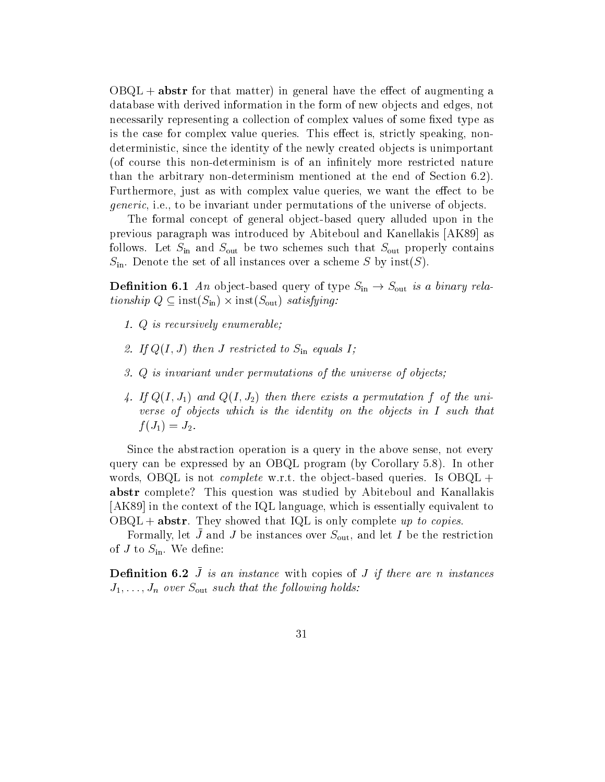$O B Q L$  + abstr for that matter) in general have the effect of augmenting a database with derived information in the form of new objects and edges, not necessarily representing a collection of complex values of some fixed type as is the case for complex value queries. This effect is, strictly speaking, nondeterministic, since the identity of the newly created objects is unimportant of course the course this non-neutrality more restricted nature. The course  $\mathcal{A}$ thanks that the arbitrary non-the end of Section mentioned at the end of Section of Section 1997. Furthermore, just as with complex value queries, we want the effect to be *generic*, i.e., to be invariant under permutations of the universe of objects.

The formal concept of general object-based query alluded upon in the previous paragraph was introduced by Abiteboul and Kanellakis [AK89] as follows. Let  $S_{\text{in}}$  and  $S_{\text{out}}$  be two schemes such that  $S_{\text{out}}$  properly contains  $S_{\text{in}}$ . Denote the set of all instances over a scheme S by inst(S).

**Definition 6.1** An object-based query of type  $S_{\text{in}} \rightarrow S_{\text{out}}$  is a binary relationship  $Q \subseteq \text{inst}(S_{\text{in}}) \times \text{inst}(S_{\text{out}})$  satisfying:

- 1. Q is recursively enumerable;
- 2. If  $Q(I, J)$  then J restricted to  $S_{\text{in}}$  equals I;
- Q is invariant under permutations of the universe of objects
- 4. If  $Q(I, J_1)$  and  $Q(I, J_2)$  then there exists a permutation f of the universe of objects which is the identity on the objects in  $I$  such that  $f(J_1) = J_2.$

Since the abstraction operation is a query in the above sense, not every query can be expressed by an OBQL program (by Corollary  $5.8$ ). In other words OBQL is not complete write was adjact the queries Is OBQL " abstr complete? This question was studied by Abiteboul and Kanallakis  $[AK89]$  in the context of the IQL language, which is essentially equivalent to  $OBQL + abstr$ . They showed that IQL is only complete up to copies.

Formally, let  $J$  and  $J$  be instances over  $D_{\text{out}}$ , and let I be the restriction of  $J$  to  $S_{\text{in}}$ . We define:

**Denition**  $0.2$  J is an instance with copies of J if there are n instances J---Jn over Sout such that the fol lowing holds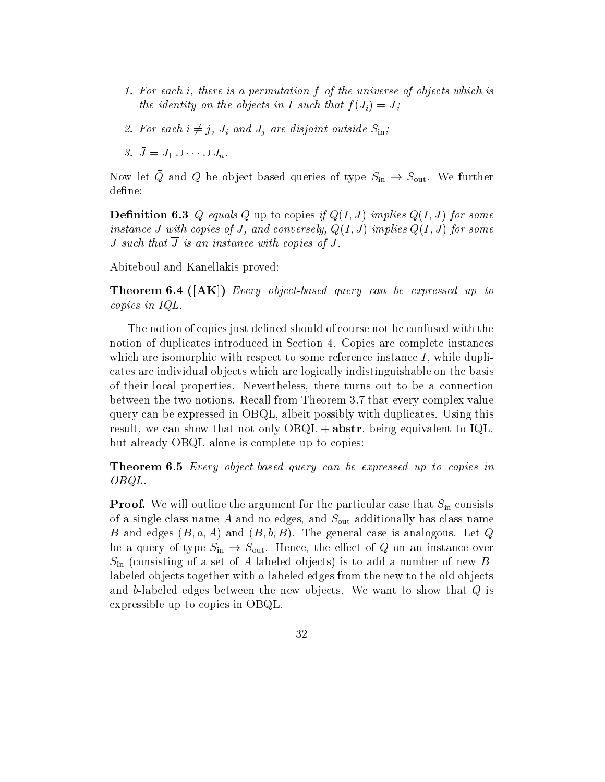- For each i- there is a permutation f of the universe ofobjects which is the identity on the objects in I such that  $f(J_i) = J$ ;
- 2. For each  $i \neq j$ ,  $J_i$  and  $J_j$  are disjoint outside  $S_{\text{in}}$ ;
- 3.  $\bar{J} = J_1 \cup \cdots \cup J_n$ .

Now let Q and Q be object-based queries of type  $S_{\rm in} \rightarrow S_{\rm out}$ . We further define:

**Demittion 6.9**  $\varphi$  equals  $\varphi$  up to copies  $\eta$   $\varphi(1, \vartheta)$  implies  $\varphi(1, \vartheta)$  for some  $i$  is tance J with copies of J, and conversely,  $Q(1, J)$  implies  $Q(1, J)$  for some J such that  $\overline{J}$  is an instance with copies of J.

Abiteboul and Kanellakis proved

Theorem - 
AK Every objectbased query can be expressed up to copies in IQL

The notion of copies just defined should of course not be confused with the notion of duplicates introduced in Section 4. Copies are complete instances which are isomorphic with respect to some reference instance  $I$ , while duplicates are individual ob jects which are logically indistinguishable on the basis of their local properties Nevertheless there turns out to be a connection between the two notions. Recall from Theorem 3.7 that every complex value query can be expressed in OBQL albeit possibly with duplicates Using this result, we can show that not only  $O B Q L + **abstr**$ , being equivalent to IQL, but already OBQL alone is complete up to copies

Theorem - Every objectbased query can be expressed up to copies in  $OBQL.$ 

Proof- We will outline the argument for the particular case that Sin consists of a single class name A and no edges, and  $S_{\text{out}}$  additionally has class name B and edges  $(B, a, A)$  and  $(B, b, B)$ . The general case is analogous. Let Q be a query of type  $S_{\text{in}} \to S_{\text{out}}$ . Hence, the effect of Q on an instance over Sin consisting of <sup>a</sup> set of A-labeled objects is to add a number of new Blabeled ob jects together with a-labeled edges from the new to the old ob jects and b-labeled edges between the new objects We want to show that Q is expressible up to copies in OBQL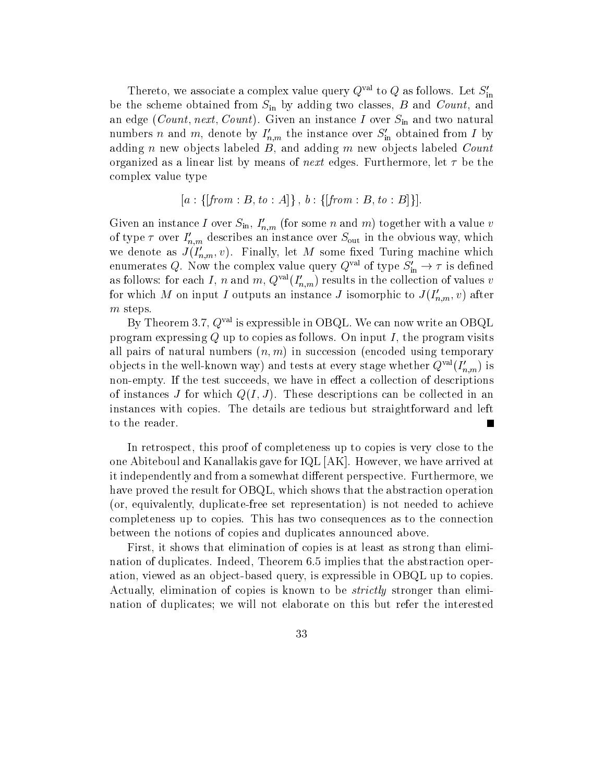Thereto, we associate a complex value query  $Q^{\text{val}}$  to  $Q$  as follows. Let  $S'_{\text{in}}$ be the scheme obtained from  $S_{\text{in}}$  by adding two classes, B and Count, and an edge (Count, next, Count). Given an instance I over  $S_{\text{in}}$  and two natural numbers *n* and *m*, denote by  $I_{n,m}$  the instance over  $S_{\text{in}}$  obtained from *I* by adding n new objects labeled  $B$ , and adding m new objects labeled Count organized as a linear list by means of *next* edges. Furthermore, let  $\tau$  be the complex value type

$$
[a: \{ [from:B, to:A] \}, b: \{ [from:B, to:B] \}].
$$

Given an instance T over  $S_{\text{in}}$ ,  $T_{n,m}$  (for some n and m) together with a value v of type  $\tau$  over  $I_{n,m}$  describes an instance over  $S_{\text{out}}$  in the obvious way, which we denote as  $J(I_{n,m},v)$ . Finally, let M some fixed Turing machine which enumerates Q. Now the complex value query  $Q^{\text{val}}$  of type  $S'_{\text{in}} \to \tau$  is defined as follows: for each 1, n and  $m$ ,  $Q^{\text{out}}(I_{n,m})$  results in the collection of values v for which M on input I outputs an instance J isomorphic to  $J(I_{n,m},v)$  after  $m$  steps.

By Theorem 3.7,  $Q^{\text{val}}$  is expressible in OBQL. We can now write an OBQL program expressing  $Q$  up to copies as follows. On input  $I$ , the program visits all pairs of natural numbers  $(n, m)$  in succession (encoded using temporary objects in the wen-known way) and tests at every stage whether  $Q^{(m)}(I_{n,m})$  is empty If the test successive we have in the test successive we have in the collection of the collection of the of instances J for which  $Q(I, J)$ . These descriptions can be collected in an instances with copies The details are tedious but straightforward and left to the reader

In retrospect, this proof of completeness up to copies is very close to the one Abiteboul and Kanallakis gave for  $IQL$   $[AK]$ . However, we have arrived at it independently and from a somewhat different perspective. Furthermore, we have proved the result for OBQL, which shows that the abstraction operation or equivalently duplicate-free set representation is not needed to achieve completeness up to copies This has two consequences as to the connection between the notions of copies and duplicates announced above

First, it shows that elimination of copies is at least as strong than elimination of duplicates. Indeed, Theorem 6.5 implies that the abstraction operation viewed as an object-based query is expressible in OBQL up to copies and object-based query is expressible Actually, elimination of copies is known to be *strictly* stronger than elimination of duplicates; we will not elaborate on this but refer the interested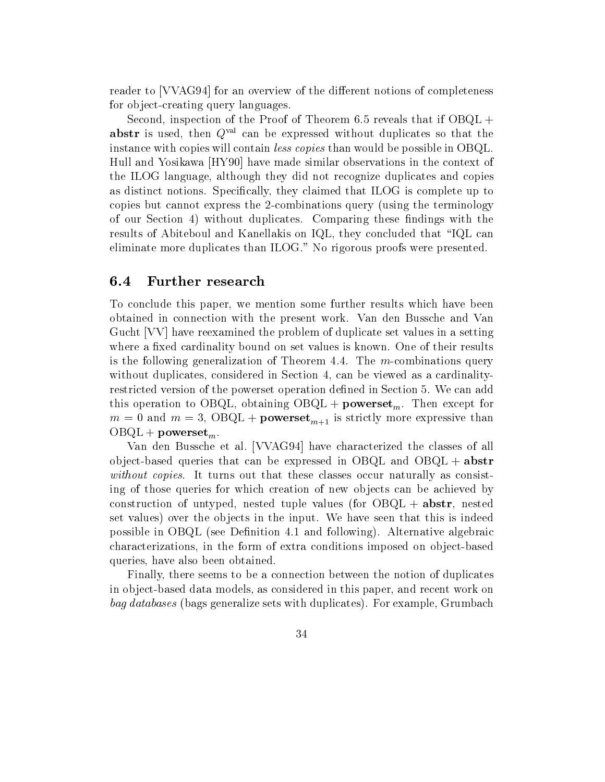reader to [VVAG94] for an overview of the different notions of completeness for ob ject-creating query languages

Second, inspection of the Proof of Theorem  $6.5$  reveals that if OBQL + abstr is used, then  $Q<sup>val</sup>$  can be expressed without duplicates so that the instance with copies will contain *less copies* than would be possible in OBQL. Hull and Yosikawa HY  have made similar observations in the context of the ILOG language although they did not recognize duplicates and copies as distinct notions. Specifically, they claimed that ILOG is complete up to copies but cannot expect the - compiled the terminology using the - compiled  $\bigwedge$ of our Section 4) without duplicates. Comparing these findings with the results of Abiteboul and Kanellakis on IQL, they concluded that "IQL can eliminate more duplicates than  $ILOG.$ " No rigorous proofs were presented.

## 6.4 Further research

To conclude this paper, we mention some further results which have been obtained in connection with the present work Van den Bussche and Van Gucht VV have reexamined the problem of duplicate set values in a setting where a fixed cardinality bound on set values is known. One of their results is the following generalization of Theorem  $\mathcal{N}$ without duplicates, considered in Section 4, can be viewed as a cardinalityrestricted version of the powerset operation defined in Section 5. We can add this operation to OBQL, obtaining  $OBQL + powerset_m$ . Then except for m is strictly more expressive than  $m+n$  . The contract of the contract of the contract of the contract of the contract of the contract of the contract of the contract of the contract of the contract of the contract of the  $OBQL + powerset_m$ 

Van den Bussche et al. [VVAG94] have characterized the classes of all ob ject-based queries that can be expressed in OBQL and OBQL and OBQL " abstract without copies. It turns out that these classes occur naturally as consisting of those queries for which creation of new objects can be achieved by construction of untyped, nested tuple values (for  $OBQL + abstr$ , nested set values) over the objects in the input. We have seen that this is indeed possible in OBQL (see Definition 4.1 and following). Alternative algebraic characterizations in the form of extra conditions imposed on object-based queries, have also been obtained.

Finally, there seems to be a connection between the notion of duplicates in ob ject-based data models as considered in this paper and recent work on bag databases (bags generalize sets with duplicates). For example, Grumbach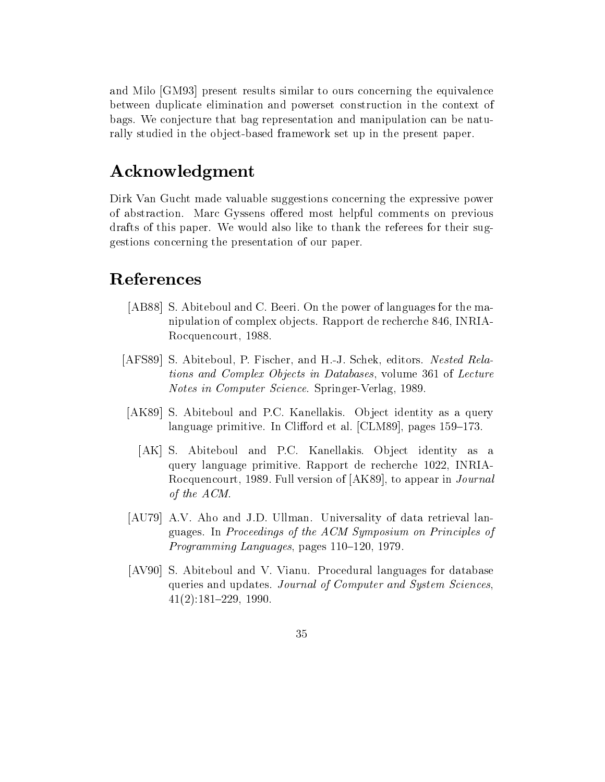and Milo [GM93] present results similar to ours concerning the equivalence between duplicate elimination and powerset construction in the context of bags We conjecture that bag representation and manipulation can be naturally studied in the ob ject-based framework set up in the present paper

# Acknowledgment

Dirk Van Gucht made valuable suggestions concerning the expressive power of abstraction. Marc Gyssens offered most helpful comments on previous drafts of this paper. We would also like to thank the referees for their suggestions concerning the presentation of our paper

# References

- [AB88] S. Abiteboul and C. Beeri. On the power of languages for the manipulation of complex objects. Rapport de recherche 846, INRIA-Rocquencourt, 1988.
- AFS  S Abiteboul P Fischer and H-J Schek editors Nested Rela tions and Complex Objects in Databases, volume 361 of Lecture notes in Computer Science Springer-Springer-Springer-Springer-Springer-Springer-Springer-Springer-Springer-Spri
- [AK89] S. Abiteboul and P.C. Kanellakis. Object identity as a query language primitive. In Clifford et al.  $\text{[CLM89]}$ , pages 159–173.
	- [AK] S. Abiteboul and P.C. Kanellakis. Object identity as a query language primitive Rapport de recherche de recherche de recherche de recherche de recherche de recherche Rocquencourt, 1989. Full version of  $[AK89]$ , to appear in *Journal* of the ACM
- [AU79] A.V. Aho and J.D. Ullman. Universality of data retrieval languages In Proceedings of the ACM Symposium on Principles of Programming Languages pages &
- ava aval and via the via the via the Vianual languages for the via the via the via the via the via the via the queries and updates. Journal of Computer and System Sciences. &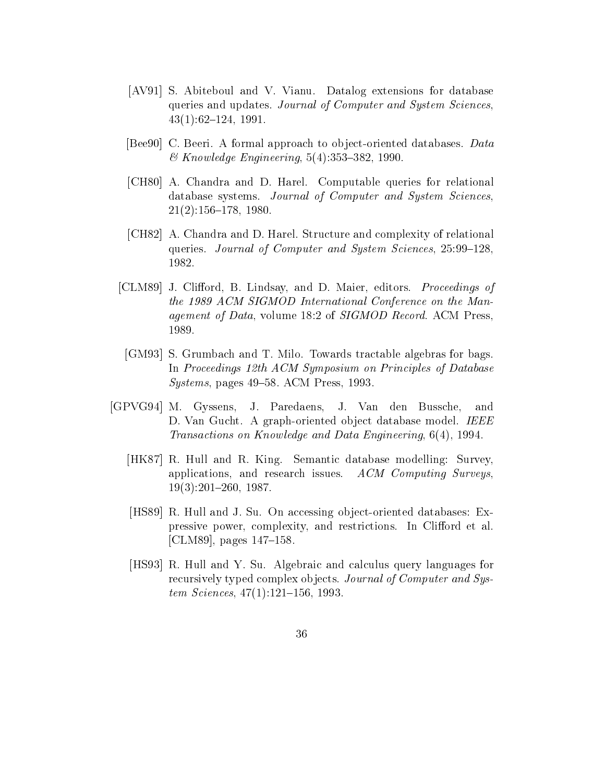- [AV91] S. Abiteboul and V. Vianu. Datalog extensions for database queries and updates. Journal of Computer and System Sciences.  $43(1):62-124$ , 1991.
- person processes are an approach to observe the contract of the contract of the contract of the contract of th  $\&$  Knowledge Engineering, 5(4):353-382, 1990.
- CH  A Chandra and D Harel Computable queries for relational database systems. Journal of Computer and System Sciences.  $\mathbf{A}$  and  $\mathbf{A}$  and  $\mathbf{A}$  and  $\mathbf{A}$  and  $\mathbf{A}$  and  $\mathbf{A}$  and  $\mathbf{A}$  and  $\mathbf{A}$  and  $\mathbf{A}$  and  $\mathbf{A}$  and  $\mathbf{A}$  and  $\mathbf{A}$  and  $\mathbf{A}$  and  $\mathbf{A}$  and  $\mathbf{A}$  and  $\mathbf{A}$  and  $\mathbf{A}$  and
- [CH82] A. Chandra and D. Harel. Structure and complexity of relational queries. Journal of Computer and System Sciences, 25:99-128. 1982.
- [CLM89] J. Clifford, B. Lindsay, and D. Maier, editors. Proceedings of the 1989 ACM SIGMOD International Conference on the Man*agement of Data, volume 18:2 of SIGMOD Record.* ACM Press, 1989.
- [GM93] S. Grumbach and T. Milo. Towards tractable algebras for bags. In Proceedings 12th ACM Symposium on Principles of Database  $Systems$ , pages 49–58. ACM Press, 1993.
- [GPVG94] M. Gyssens, J. Paredaens, J. Van den Bussche, and D Van Gucht A graph-oriented ob ject database model IEEE Transactions on Knowledge and Data Engineering, 6(4), 1994.
	- [HK87] R. Hull and R. King. Semantic database modelling: Survey, applications, and research issues.  $ACM$  Computing Surveys, &
	- isse en av sener men vilvar oer meening ob ject-meene mannement en a pressive power, complexity, and restrictions. In Clifford et al. [CLM89], pages  $147-158$ .
	- [HS93] R. Hull and Y. Su. Algebraic and calculus query languages for recursively typed complex objects. Journal of Computer and Sys $tem\ Sciences, 47(1):121-156, 1993.$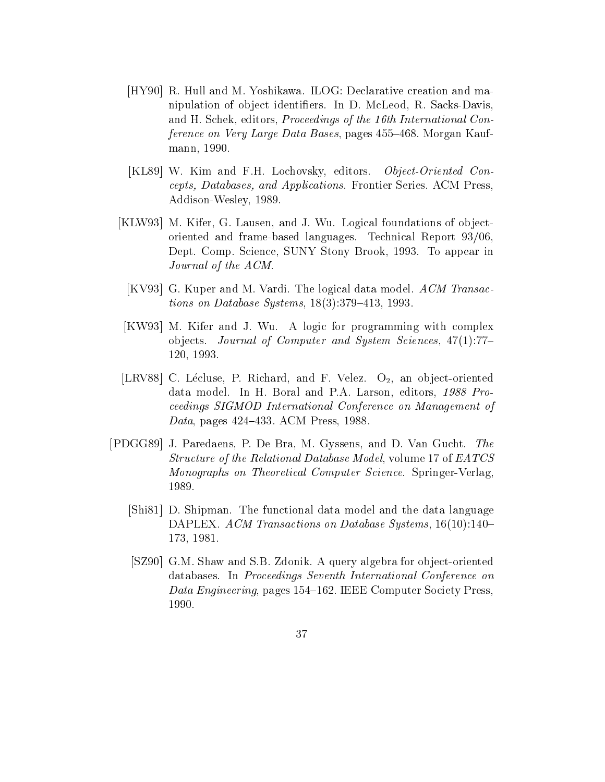- is a collection of the M Yoshikawa ILOG Declaration and management creation and management creation and management nipulation of ob ject identiers In D McLeod R Sacks-Davis and H. Schek, editors, *Proceedings of the 16th International Con*ference on Very Large Data Bases, pages 455–468. Morgan Kaufmann, 1990.
- [KL89] W. Kim and F.H. Lochovsky, editors. Object-Oriented Concepts- Databases- and Applications Frontier Series ACM Press Addison-Wesley
- [KLW93] M. Kifer, G. Lausen, and J. Wu. Logical foundations of objectoriented and frame-based languages. Technical  $\rm Report$   $93/06,$ Dept. Comp. Science, SUNY Stony Brook, 1993. To appear in Journal of the ACM
	- [KV93] G. Kuper and M. Vardi. The logical data model.  $ACM$  Transac*tions on Database Systems*,  $18(3):379-413$ , 1993.
- $\vert$ KW93 M. Kifer and J. Wu. A logic for programming with complex objects. Journal of Computer and System Sciences,  $47(1)$ :77-
- LRV C L(ecluse P Richard and F Velez O an ob ject-oriented data model. In H. Boral and P.A. Larson, editors,  $1988$  Proceedings SIGMOD International Conference on Management of Data, pages  $424-433$ . ACM Press, 1988.
- [PDGG89] J. Paredaens, P. De Bra, M. Gyssens, and D. Van Gucht. The Structure of the Relational Database Model, volume 17 of  $EATCS$ Monographs on Theoretical Computer Science Springer-Verlag 1989.
	- [Shi81] D. Shipman. The functional data model and the data language DAPLEX ACM Transactions on Database Systems & 173, 1981.
	- , social social service and services and services for observed and the services of the service of the service o databases In Proceedings Seventh International Conference on Data Engineering, pages 154–162. IEEE Computer Society Press, 1990.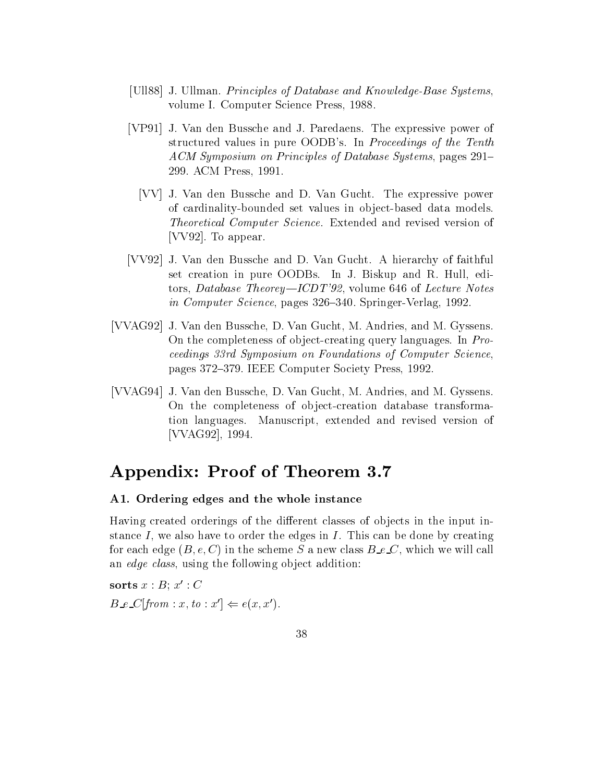- [Ull88] J. Ullman. Principles of Database and Knowledge-Base Systems, volume I. Computer Science Press, 1988.
- [VP91] J. Van den Bussche and J. Paredaens. The expressive power of structured values in pure OODB's. In *Proceedings of the Tenth* ACM Symposium on Principles of Database Systems, pages 291-299. ACM Press, 1991.
	- [VV] J. Van den Bussche and D. Van Gucht. The expressive power of cardinality- of the set values in object- the protocol of the set where  $\sim$ Theoretical Computer Science. Extended and revised version of [VV92]. To appear.
- [VV92] J. Van den Bussche and D. Van Gucht. A hierarchy of faithful set creation in pure OODBs. In J. Biskup and R. Hull, editors, Database Theorey—ICDT'92, volume  $646$  of Lecture Notes in Computer Science pages Court Server passents in the serve
- [VVAG92] J. Van den Bussche, D. Van Gucht, M. Andries, and M. Gyssens. On the completeness of object-creating query languages In Pro ceedings 33rd Symposium on Foundations of Computer Science. pages 372-379. IEEE Computer Society Press, 1992.
- [VVAG94] J. Van den Bussche, D. Van Gucht, M. Andries, and M. Gyssens. On the completeness of ob ject-creation database transformation languages. Manuscript, extended and revised version of [VVAG92], 1994.

# Appendix: Proof of Theorem 3.7

## A- Ordering edges and the whole instance

Having created orderings of the different classes of objects in the input instance  $I$ , we also have to order the edges in  $I$ . This can be done by creating for each edge  $(B, e, C)$  in the scheme S a new class  $B_{\text{e}}C$ , which we will call an edge class, using the following object addition:

sorts  $x : B$ ;  $x' : C$  $B \_\infty C | from : x, to : x' | \Leftarrow e(x, x').$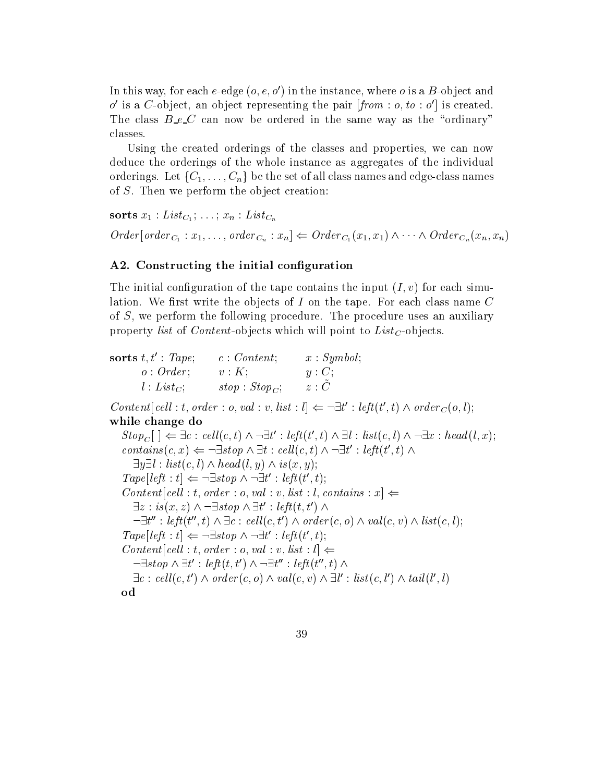In this way, for each e-edge  $(o, e, o$  ) in the instance, where  $o$  is a  $B$ -object and  $\sigma$  is a  $\sigma$ -object, an object representing the pair  $\eta\tau\sigma m$  :  $\sigma$ ,  $\omega$  :  $\sigma$   $\tau$  is created. The class  $B\_{e}\_{C}$  can now be ordered in the same way as the "ordinary" classes

Using the created orderings of the classes and properties, we can now deduce the orderings of the whole instance as aggregates of the individual orderings. Let  $\{C_1,\ldots,C_n\}$  be the set of all class names and edge-class names of  $S$ . Then we perform the object creation:

sorts x List C --- xn List Cn  $Order[order_{C_1}: x_1, \ldots, order_{C_n}: x_n] \Leftarrow Order_{C_1}(x_1, x_1) \wedge \cdots \wedge Order_{C_n}(x_n, x_n)$ 

## A- Constructing the initial conguration

The initial configuration of the tape contains the input  $(I, v)$  for each simulation. We first write the objects of I on the tape. For each class name  $C$ of  $S$ , we perform the following procedure. The procedure uses an auxiliary property list of Content - objects which will point to List C - or List C - or List C - or List C - or List C -

| sorts $t, t'$ : Tape; | c: Content;        | x : Symbol; |
|-----------------------|--------------------|-------------|
| o: Order;             | $v:K$ ;            | $y: C$ ;    |
| $l: List_C$           | $stop : Stop_{C};$ | z : C       |

 $Content[cell : t, order : o, val : v, list : l] \Leftarrow \neg \exists t' : left(t', t) \land order_C(o, l);$ while change do

 $Stop_C$   $] \Leftarrow \exists c : cell(c, t) \land \neg \exists t' : left(t', t) \land \exists l : list(c, l) \land \neg \exists x : head(l, x);$  $contains(c, x) \Leftarrow \neg \exists stop \land \exists t : cell(c, t) \land \neg \exists t' : left(t', t) \land$  $\exists y \exists l : list(c, l) \land head(l, y) \land is(x, y);$  $Tape|left : t \right| \Leftarrow \neg \exists stop \land \neg \exists t' : left(t', t);$  $Content[cell : t, order : o, val : v, list : l, contains : x] \rightleftharpoons$  $\exists z : is(x,z) \land \neg \exists stop \land \exists t' : left(t,t') \land$  $\exists t'' : \textit{left}(t'', t) \wedge \exists c : \textit{cell}(c, t') \wedge \textit{order}(c, o) \wedge \textit{val}(c, v) \wedge \textit{list}(c, l);$  $Tape|left : t \right| \Leftarrow \neg \exists stop \land \neg \exists t' : left(t', t);$  $Content[cell : t, order : o, val : v, list : l] \leftarrow$  $\lnot \exists stop \land \exists t': left(t, t') \land \lnot \exists t'': left(t'', t) \land$  $\exists c : cell(c, t') \wedge order(c, o) \wedge val(c, v) \wedge \exists l' : list(c, l') \wedge tail(l', l)$ od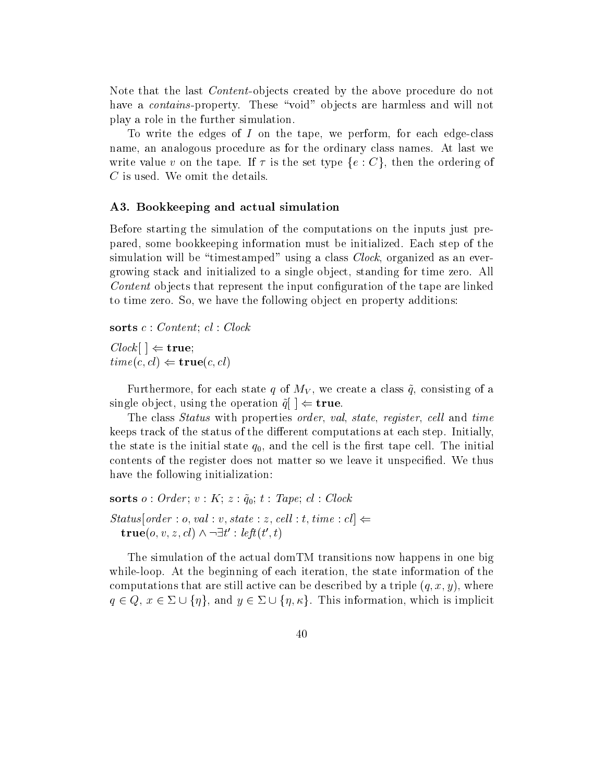Note that the last Content -ob jects created by the above procedure do not have a contains -property These void ob jects are harmless and will not play a role in the further simulation

To write the edges of I on the tape we perform for each edge-class name, an analogous procedure as for the ordinary class names. At last we write value v on the tape. If  $\tau$  is the set type  $\{e : C\}$ , then the ordering of  $C$  is used. We omit the details.

#### A- Bookkeeping and actual simulation

Before starting the simulation of the computations on the inputs just prepared, some bookkeeping information must be initialized. Each step of the simulation will be "timestamped" using a class  $Clock$ , organized as an evergrowing stack and initialized to a single object, standing for time zero. All Content objects that represent the input configuration of the tape are linked to time zero. So, we have the following object en property additions:

sorts  $c : Content: cl: Clock$ 

 $Clock \perp \Leftarrow$  true;  $time(c, cl) \Leftarrow true(c, cl)$ 

Furthermore, for each state q of  $M_V$ , we create a class  $\tilde{q}$ , consisting of a single object, using the operation  $q \mid \Leftarrow$  true.

The class *Status* with properties *order*, *val*, *state*, *register*, *cell* and *time* keeps track of the status of the different computations at each step. Initially, the state is the initial state of the and the initial state of the cell is the initial state cell the initial contents of the register does not matter so we leave it unspecified. We thus have the following initialization:

sorts of the contract of the contract of the contract of the contract of the contract of the contract of the c  $\begin{aligned} Status[order: o, val:v, state: z, cell:t, time: cl] \Leftarrow \end{aligned}$  $true(o, v, z, cl) \wedge \neg \exists t' : left(t', t)$ 

The simulation of the actual domTM transitions now happens in one big while-loop At the beginning of each iteration the state information of the computations that are still active can be described by a triple  $(q, x, y)$ , where  $q \in Q$ ,  $x \in \Sigma \cup \{\eta\}$ , and  $y \in \Sigma \cup \{\eta, \kappa\}$ . This information, which is implicit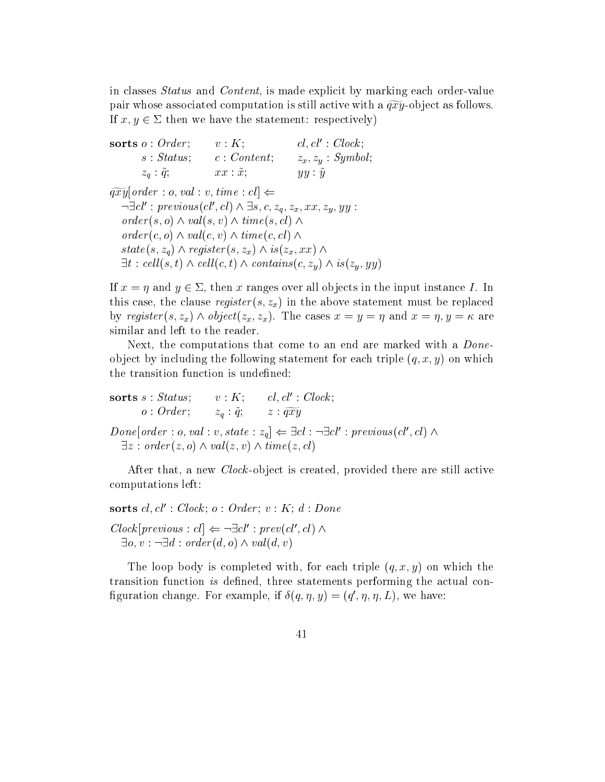in classes of the content of the classes are explicit by material explicit by material explicit by material e pair whose associated computation is still active with a  $\widetilde{qxy}$ -object as follows. If  $x, y \in \Sigma$  then we have the statement: respectively)

| sorts $o:Order$ ;     | v:K;              | $cl, cl' : \mathit{Clock};$ |
|-----------------------|-------------------|-----------------------------|
| s: Status;            | c: Content:       | $z_x, z_y : Symbol;$        |
| $z_q$ : $\tilde{q}$ ; | $xx : \tilde{x};$ | yy: y                       |

 $\widetilde{qxy}$  order : o, val : v, time : cl  $\Leftarrow$  $\neg \exists cl': previous(cl', cl) \land \exists s, c, z_q, z_x, xx, z_y, yy:$  $order(s, o) \wedge val(s, v) \wedge time(s, cl) \wedge$  $order(c, o) \wedge val(c, v) \wedge time(c, cl) \wedge$  $state(s, z_q) \wedge register(s, z_x) \wedge is(z_x, xx) \wedge$  $\exists t : \text{cell}(s, t) \land \text{cell}(c, t) \land \text{contains}(c, z_y) \land \text{is}(z_y, yy)$ 

If  $x = \eta$  and  $y \in \Sigma$ , then x ranges over all objects in the input instance I. In this case, the clause  $register(s, z_x)$  in the above statement must be replaced by register(s, z<sub>x</sub>)  $\wedge$  object(z<sub>x</sub>, z<sub>x</sub>). The cases  $x = y = \eta$  and  $x = \eta$ ,  $y = \kappa$  are similar and left to the reader

Next, the computations that come to an end are marked with a *Done*object by including the following statement for each triple  $(q, x, y)$  on which the transition function is undefined:

sorts  $s : Status;$   $v : K;$   $cl, cl' : Clock;$  $o: Order; \t z<sub>q</sub>: \tilde{q}; \t z: \widetilde{qxy}$  $Done|order: o, val: v, state: z_q \rangle \Leftarrow \exists cl: \neg \exists cl': previous(cl', cl) \land$  $\exists z : order(z, o) \wedge val(z, v) \wedge time(z, cl)$ 

after that a new Clock - and there are still active there are still active are still active to the contract of computations left

sorts  $cl, cl'$ : Clock;  $o : Order$ ;  $v : K$ ;  $d : Done$  $Clock[previous:cl] \leftarrow \neg \exists cl': prev(cl', cl) \wedge$  $\exists o, v : \neg \exists d : order(d, o) \land val(d, v)$ 

The loop body is completed with, for each triple  $(q, x, y)$  on which the transition function is defined, three statements performing the actual coniguration change. For example, if  $o(q, \eta, y) = (q, \eta, \eta, L)$ , we have: